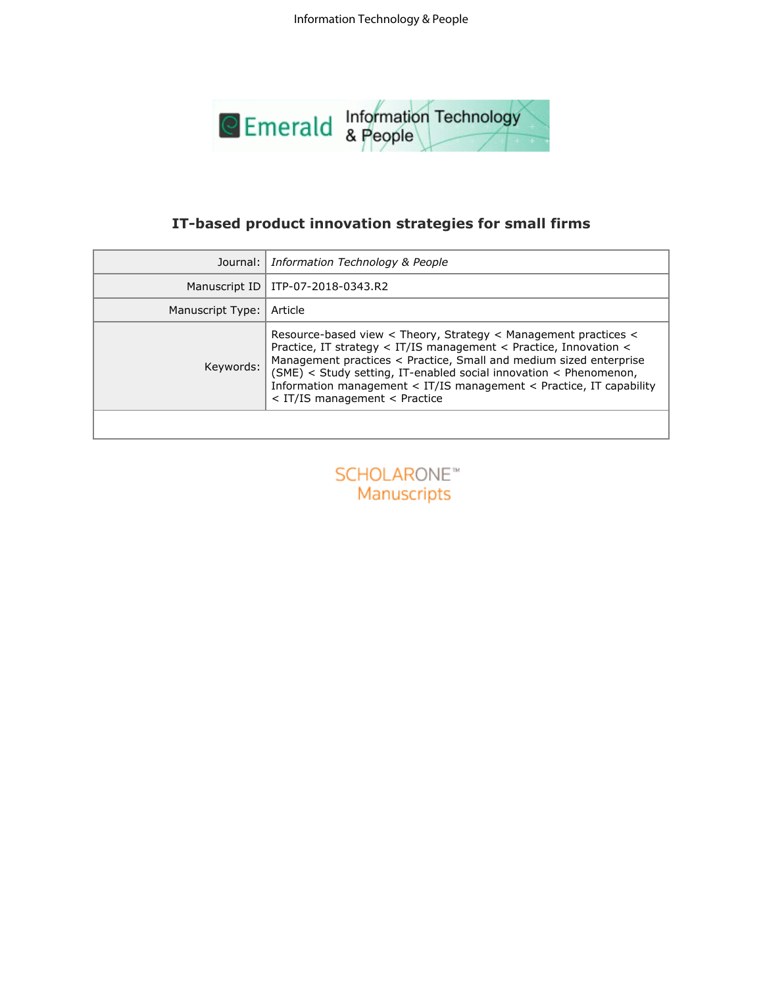

|                  | IT-based product innovation strategies for small firms                                                                                                                                                                                                                                                                                                                                  |
|------------------|-----------------------------------------------------------------------------------------------------------------------------------------------------------------------------------------------------------------------------------------------------------------------------------------------------------------------------------------------------------------------------------------|
| Journal:         | Information Technology & People                                                                                                                                                                                                                                                                                                                                                         |
| Manuscript ID    | ITP-07-2018-0343.R2                                                                                                                                                                                                                                                                                                                                                                     |
| Manuscript Type: | Article                                                                                                                                                                                                                                                                                                                                                                                 |
| Keywords:        | Resource-based view < Theory, Strategy < Management practices <<br>Practice, IT strategy < IT/IS management < Practice, Innovation <<br>Management practices < Practice, Small and medium sized enterprise<br>(SME) < Study setting, IT-enabled social innovation < Phenomenon,<br>Information management < IT/IS management < Practice, IT capability<br>< IT/IS management < Practice |
|                  |                                                                                                                                                                                                                                                                                                                                                                                         |
|                  |                                                                                                                                                                                                                                                                                                                                                                                         |
|                  | SCHOLARONE <sup>®</sup>                                                                                                                                                                                                                                                                                                                                                                 |
|                  | Manuscripts                                                                                                                                                                                                                                                                                                                                                                             |
|                  |                                                                                                                                                                                                                                                                                                                                                                                         |
|                  |                                                                                                                                                                                                                                                                                                                                                                                         |
|                  |                                                                                                                                                                                                                                                                                                                                                                                         |
|                  |                                                                                                                                                                                                                                                                                                                                                                                         |
|                  |                                                                                                                                                                                                                                                                                                                                                                                         |
|                  |                                                                                                                                                                                                                                                                                                                                                                                         |
|                  |                                                                                                                                                                                                                                                                                                                                                                                         |
|                  |                                                                                                                                                                                                                                                                                                                                                                                         |
|                  |                                                                                                                                                                                                                                                                                                                                                                                         |
|                  |                                                                                                                                                                                                                                                                                                                                                                                         |
|                  |                                                                                                                                                                                                                                                                                                                                                                                         |
|                  |                                                                                                                                                                                                                                                                                                                                                                                         |

| <b>SCHOLARONE™</b> |  |                    |  |  |
|--------------------|--|--------------------|--|--|
|                    |  | <b>Manuscripts</b> |  |  |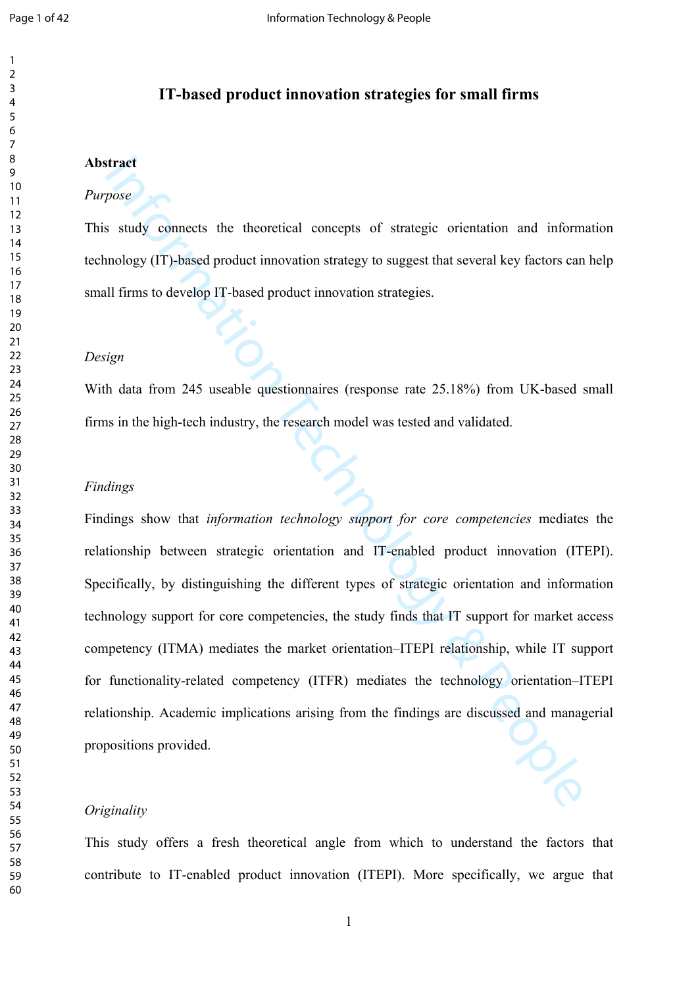## **IT-based product innovation strategies for small firms**

## **Abstract**

#### *Purpose*

This study connects the theoretical concepts of strategic orientation and information technology (IT)-based product innovation strategy to suggest that several key factors can help small firms to develop IT-based product innovation strategies.

#### *Design*

With data from 245 useable questionnaires (response rate 25.18%) from UK-based small firms in the high-tech industry, the research model was tested and validated.

#### *Findings*

Final study connects the theoretical concepts of strategic orientation and information strategic strategic correlation and information of strategic strategic strategic strategic strategic strategic multifirms to develop IT Findings show that *information technology support for core competencies* mediates the relationship between strategic orientation and IT-enabled product innovation (ITEPI). Specifically, by distinguishing the different types of strategic orientation and information technology support for core competencies, the study finds that IT support for market access competency (ITMA) mediates the market orientation–ITEPI relationship, while IT support for functionality-related competency (ITFR) mediates the technology orientation–ITEPI relationship. Academic implications arising from the findings are discussed and managerial propositions provided.

#### *Originality*

This study offers a fresh theoretical angle from which to understand the factors that contribute to IT-enabled product innovation (ITEPI). More specifically, we argue that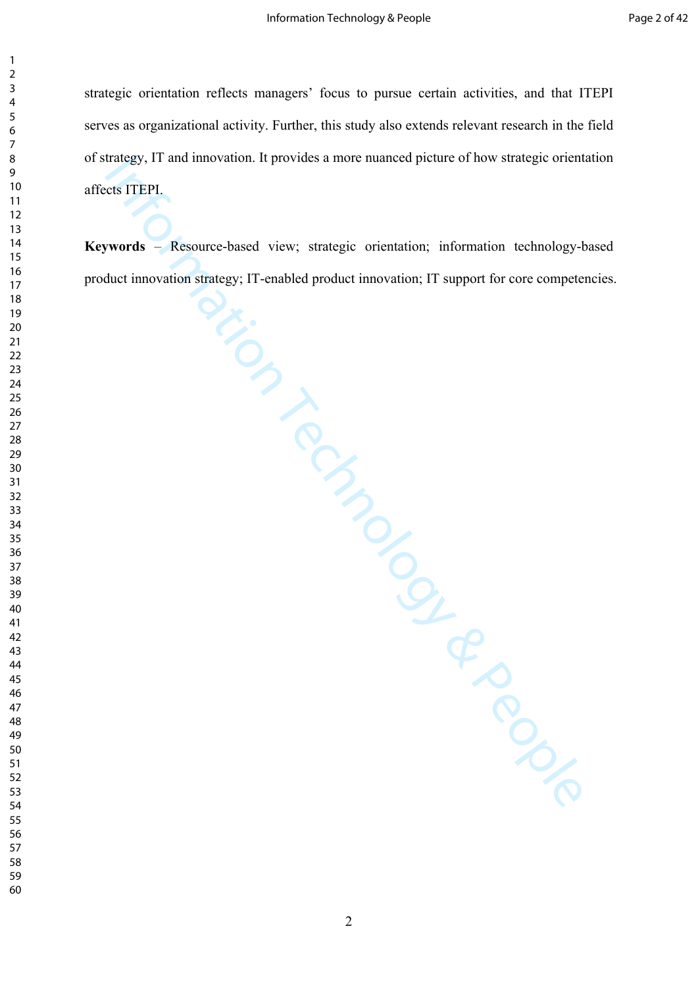strategic orientation reflects managers' focus to pursue certain activities, and that ITEPI serves as organizational activity. Further, this study also extends relevant research in the field of strategy, IT and innovation. It provides a more nuanced picture of how strategic orientation affects ITEPI.

The Contract of the March Contract of the March Contract of the Strategic orientation of the Strategic orientation of the Strategic orientation of the Strategic orientation of the March Control Control of the Control of th **Keywords** – Resource-based view; strategic orientation; information technology-based product innovation strategy; IT-enabled product innovation; IT support for core competencies.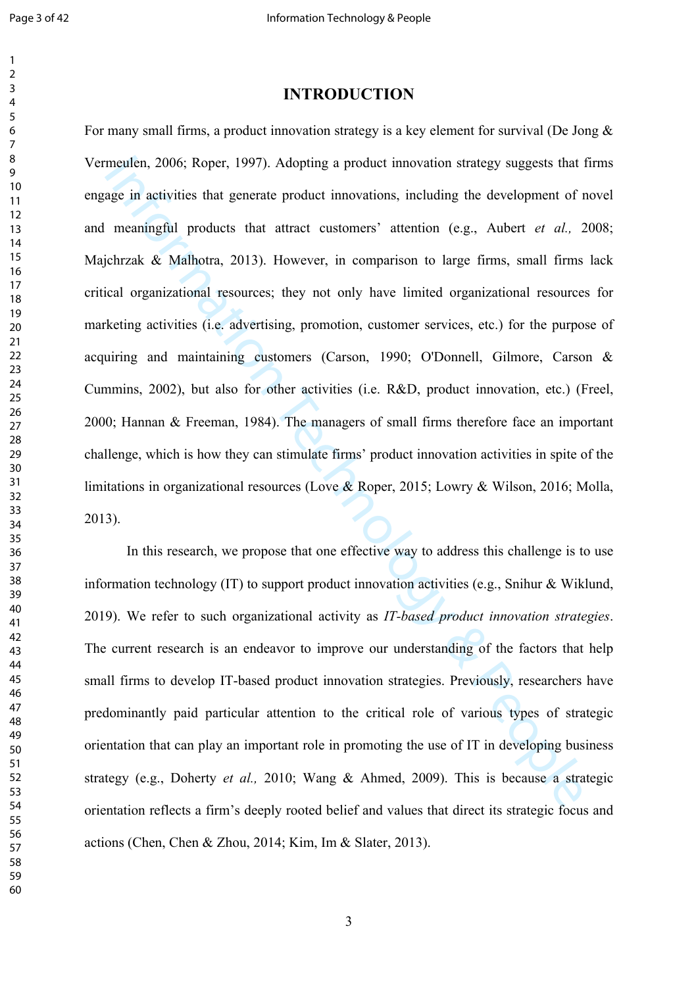## **INTRODUCTION**

meallen, 2006; Roper, 1997). Adopting a product innovation strategy suggests that<br>age in activities that generate product imnovations, including the development of 1<br>meaningful products that attract customers' attention ( For many small firms, a product innovation strategy is a key element for survival ([De Jong &](#page-28-0)  [Vermeulen, 2006](#page-28-0); Roper, 1997). Adopting a product innovation strategy suggests that firms engage in activities that generate product innovations, including the development of novel and meaningful products that attract customers' attention (e.g., Aubert *et al.,* 2008; Majchrzak & Malhotra, 2013). However, in comparison to large firms, small firms lack critical organizational resources; they not only have limited organizational resources for marketing activities (i.e. advertising, promotion, customer services, etc.) for the purpose of acquiring and maintaining customers (Carson, 1990; [O'Donnell, Gilmore, Carson &](#page-30-0)  [Cummins, 2002\)](#page-30-0), but also for other activities (i.e. R&D, product innovation, etc.) ([Freel,](#page-29-0)  ; Hannan & Freeman, 1984). The managers of small firms therefore face an important challenge, which is how they can stimulate firms' product innovation activities in spite of the limitations in organizational resources (Love & Roper, 2015; Lowry & Wilson, 2016; Molla, 2013).

In this research, we propose that one effective way to address this challenge is to use information technology (IT) to support product innovation activities (e.g., Snihur & Wiklund, 2019). We refer to such organizational activity as *IT-based product innovation strategies*. The current research is an endeavor to improve our understanding of the factors that help small firms to develop IT-based product innovation strategies. Previously, researchers have predominantly paid particular attention to the critical role of various types of strategic orientation that can play an important role in promoting the use of IT in developing business strategy (e.g., Doherty *et al.,* 2010; Wang & Ahmed, 2009). This is because a strategic orientation reflects a firm's deeply rooted belief and values that direct its strategic focus and actions ([Chen, Chen & Zhou, 2014](#page-28-1); [Kim, Im & Slater, 2013\)](#page-29-2).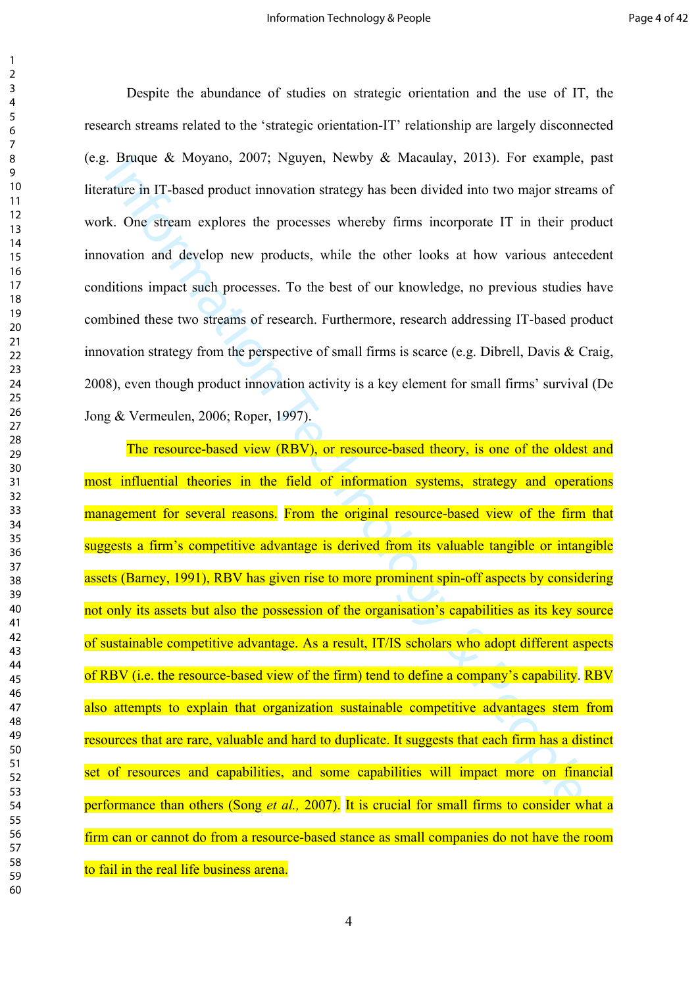Despite the abundance of studies on strategic orientation and the use of IT, the research streams related to the 'strategic orientation-IT' relationship are largely disconnected (e.g. [Bruque & Moyano, 2007;](#page-27-1) [Nguyen, Newby & Macaulay, 2013](#page-30-1)). For example, past literature in IT-based product innovation strategy has been divided into two major streams of work. One stream explores the processes whereby firms incorporate IT in their product innovation and develop new products, while the other looks at how various antecedent conditions impact such processes. To the best of our knowledge, no previous studies have combined these two streams of research. Furthermore, research addressing IT-based product innovation strategy from the perspective of small firms is scarce [\(e.g. Dibrell, Davis & Craig,](#page-28-2)  ), even though product innovation activity is a key element for small firms' survival [\(De](#page-28-0)  [Jong & Vermeulen, 2006](#page-28-0); Roper, 1997).

Burgue & Moyano, 2007; Nguyen, Newby & Macauay, 2013). For example,<br>tature in IT-based product imovation strategy has been divided into two major streat<br>k. One stream explores the processes whereby firms incorporate IT in The resource-based view (RBV), or resource-based theory, is one of the oldest and most influential theories in the field of information systems, strategy and operations management for several reasons. From the original resource-based view of the firm that suggests a firm's competitive advantage is derived from its valuable tangible or intangible assets (Barney, 1991), RBV has given rise to more prominent spin-off aspects by considering not only its assets but also the possession of the organisation's capabilities as its key source of sustainable competitive advantage. As a result, IT/IS scholars who adopt different aspects of RBV (i.e. the resource-based view of the firm) tend to define a company's capability. RBV also attempts to explain that organization sustainable competitive advantages stem from resources that are rare, valuable and hard to duplicate. It suggests that each firm has a distinct set of resources and capabilities, and some capabilities will impact more on financial performance than others (Song *et al.,* 2007). It is crucial for small firms to consider what a firm can or cannot do from a resource-based stance as small companies do not have the room to fail in the real life business arena.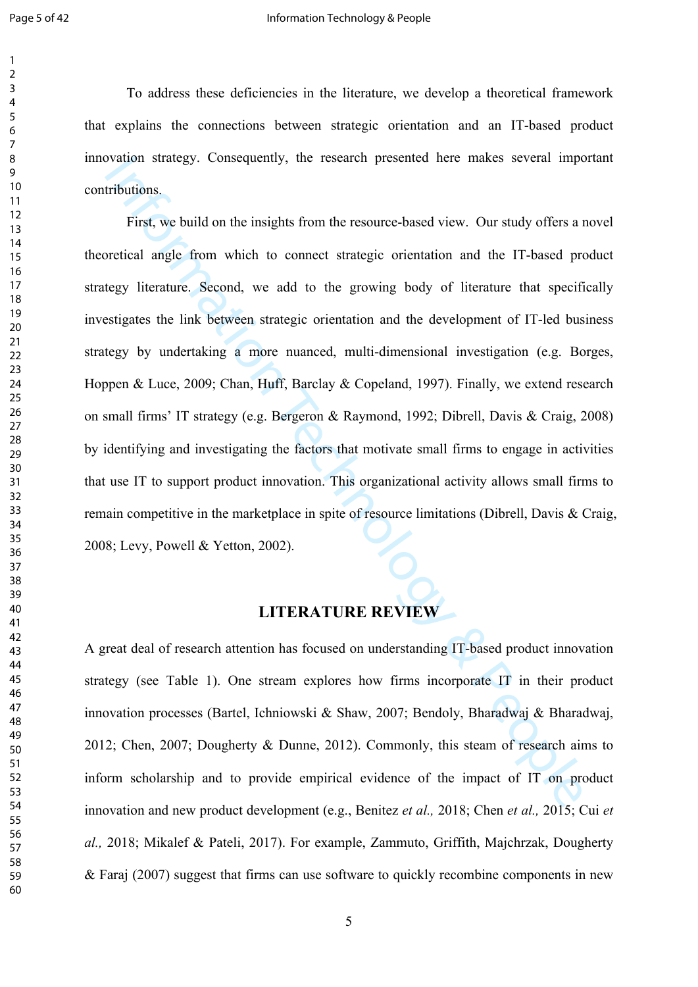contributions. First, we build on the insights from the resource-based view. Our study offers a novel

To address these deficiencies in the literature, we develop a theoretical framework that explains the connections between strategic orientation and an IT-based product innovation strategy. Consequently, the research presented here makes several important

by the matter of the matter of the matter of the matter of the matter of the matter of the matter of the matter of the matter of the matter of the matter of the matter of the matter of the matter of the matter of the matt theoretical angle from which to connect strategic orientation and the IT-based product strategy literature. Second, we add to the growing body of literature that specifically investigates the link between strategic orientation and the development of IT-led business strategy by undertaking a more nuanced, multi-dimensional investigation (e.g. [Borges,](#page-27-3)  [Hoppen & Luce, 2009;](#page-27-3) Chan, Huff, Barclay & Copeland, 1997). Finally, we extend research on small firms' IT strategy (e.g. Bergeron & Raymond, 1992; Dibrell, Davis & Craig, 2008) by identifying and investigating the factors that motivate small firms to engage in activities that use IT to support product innovation. This organizational activity allows small firms to remain competitive in the marketplace in spite of resource limitations [\(Dibrell, Davis & Craig,](#page-28-2)  ; Levy, Powell & Yetton, 2002).

# **LITERATURE REVIEW**

A great deal of research attention has focused on understanding IT-based product innovation strategy (see Table 1). One stream explores how firms incorporate IT in their product innovation processes (Bartel, Ichniowski & Shaw, 2007; [Bendoly, Bharadwaj & Bharadwaj,](#page-27-7)  ; Chen, 2007; Dougherty & Dunne, 2012). Commonly, this steam of research aims to inform scholarship and to provide empirical evidence of the impact of IT on product innovation and new product development (e.g., Benitez *et al.,* 2018; Chen *et al.,* 2015; Cui *et al.,* 2018; Mikalef & Pateli, 2017). For example, [Zammuto, Griffith, Majchrzak, Dougherty](#page-32-0)  [& Faraj \(2007\)](#page-32-0) suggest that firms can use software to quickly recombine components in new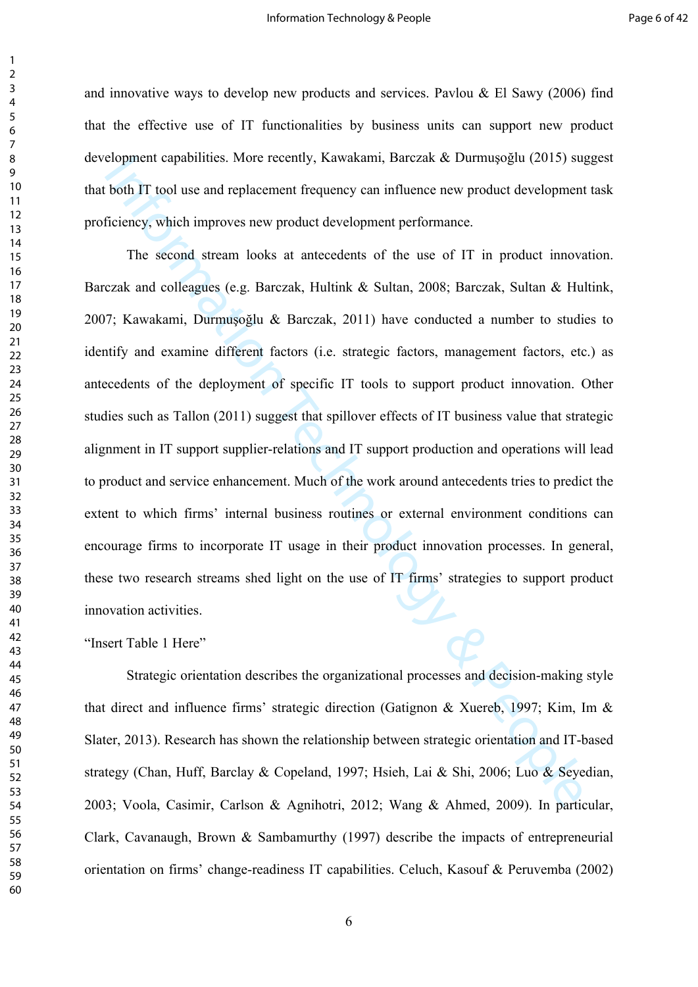and innovative ways to develop new products and services. Pavlou  $\&$  El Sawy (2006) find that the effective use of IT functionalities by business units can support new product development capabilities. More recently, Kawakami, Barczak & Durmuşoğlu (2015) suggest that both IT tool use and replacement frequency can influence new product development task proficiency, which improves new product development performance.

etopment capabilities. More recentry, Kawakami, Barczak & Durmuşogiu (2015) su;<br>both IT tool use and replacement frequency can influence new product development<br>ficiency, which improves new product development performance. The second stream looks at antecedents of the use of IT in product innovation. Barczak and colleagues (e.g. Barczak, Hultink & Sultan, 2008; [Barczak, Sultan & Hultink,](#page-27-9)  ; Kawakami, Durmuşoğlu & Barczak, 2011) have conducted a number to studies to identify and examine different factors (i.e. strategic factors, management factors, etc.) as antecedents of the deployment of specific IT tools to support product innovation. Other studies such as Tallon (2011) suggest that spillover effects of IT business value that strategic alignment in IT support supplier-relations and IT support production and operations will lead to product and service enhancement. Much of the work around antecedents tries to predict the extent to which firms' internal business routines or external environment conditions can encourage firms to incorporate IT usage in their product innovation processes. In general, these two research streams shed light on the use of IT firms' strategies to support product innovation activities.

"Insert Table 1 Here"

Strategic orientation describes the organizational processes and decision-making style that direct and influence firms' strategic direction (Gatignon & Xuereb, 1997; [Kim, Im &](#page-29-2)  [Slater, 2013](#page-29-2)). Research has shown the relationship between strategic orientation and IT-based strategy (Chan, Huff, Barclay & Copeland, 1997; Hsieh, Lai & Shi, 2006; [Luo & Seyedian,](#page-30-4)  ; Voola, Casimir, Carlson & Agnihotri, 2012; Wang & Ahmed, 2009). In particular, [Clark, Cavanaugh, Brown & Sambamurthy \(1997](#page-28-5)) describe the impacts of entrepreneurial orientation on firms' change-readiness IT capabilities. [Celuch, Kasouf & Peruvemba \(2002](#page-27-10))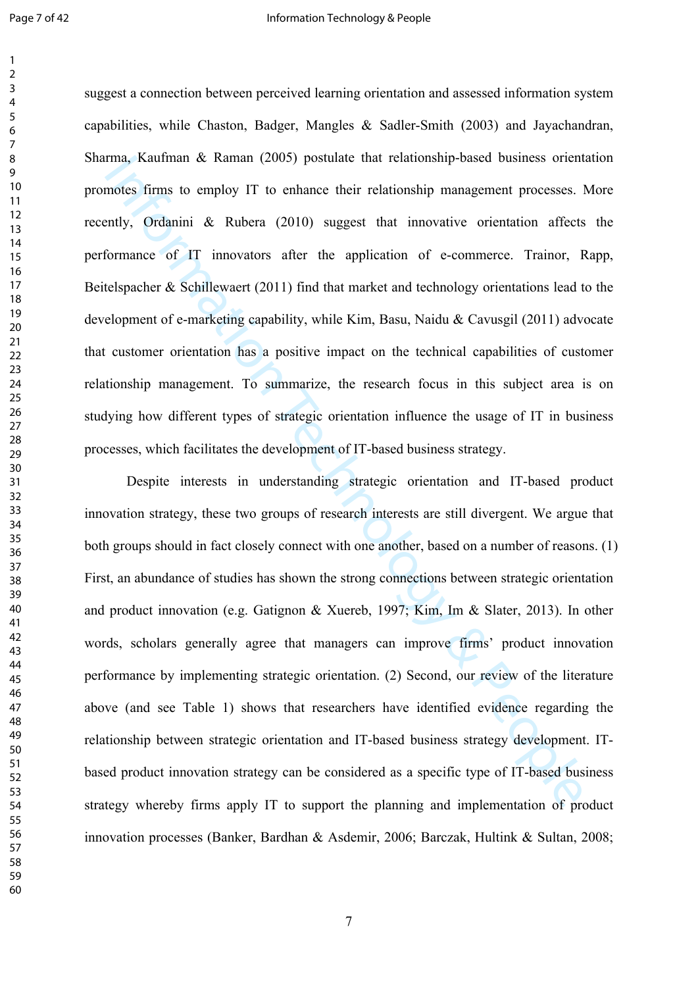suggest a connection between perceived learning orientation and assessed information system capabilities, while [Chaston, Badger, Mangles & Sadler-Smith \(2003](#page-28-6)) and [Jayachandran,](#page-29-7)  [Sharma, Kaufman & Raman \(2005\)](#page-29-7) postulate that relationship-based business orientation promotes firms to employ IT to enhance their relationship management processes. More recently, Ordanini & Rubera (2010) suggest that innovative orientation affects the performance of IT innovators after the application of e-commerce. [Trainor, Rapp,](#page-31-3)  [Beitelspacher & Schillewaert \(2011](#page-31-3)) find that market and technology orientations lead to the development of e-marketing capability, while Kim, Basu, Naidu & Cavusgil (2011) advocate that customer orientation has a positive impact on the technical capabilities of customer relationship management. To summarize, the research focus in this subject area is on studying how different types of strategic orientation influence the usage of IT in business processes, which facilitates the development of IT-based business strategy.

*ma*, Kauman & Kaman (2005) postuate that relationship-based business orient<br>motes firms to employ IT to enhance their relationship management processes. I<br>ently, Ordanini & Rubera (2010) suggest that innovative orientati Despite interests in understanding strategic orientation and IT-based product innovation strategy, these two groups of research interests are still divergent. We argue that both groups should in fact closely connect with one another, based on a number of reasons. (1) First, an abundance of studies has shown the strong connections between strategic orientation and product innovation (e.g. Gatignon & Xuereb, 1997; Kim, Im & Slater, 2013). In other words, scholars generally agree that managers can improve firms' product innovation performance by implementing strategic orientation. (2) Second, our review of the literature above (and see Table 1) shows that researchers have identified evidence regarding the relationship between strategic orientation and IT-based business strategy development. ITbased product innovation strategy can be considered as a specific type of IT-based business strategy whereby firms apply IT to support the planning and implementation of product innovation processes ([Banker, Bardhan & Asdemir, 2006;](#page-27-11) [Barczak, Hultink & Sultan, 2008;](#page-27-8)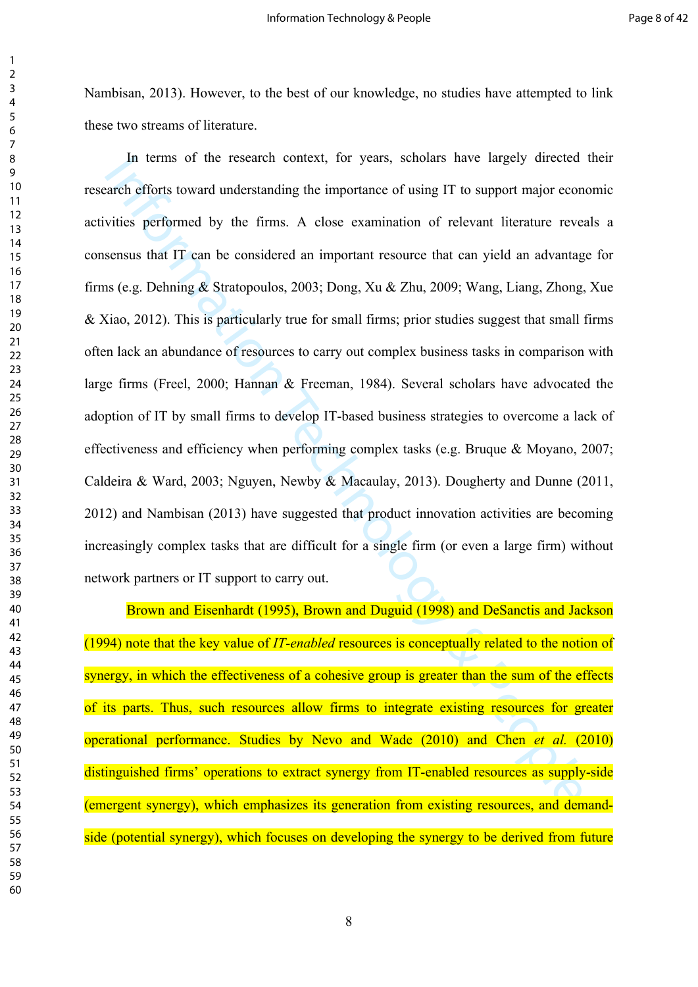[Nambisan, 2013](#page-30-6)). However, to the best of our knowledge, no studies have attempted to link these two streams of literature.

In terms of the research context, for years, scholars have largely directed<br>arch efforts toward understanding the importance of using IT to support [ma](#page-28-7)jor coo[n](#page-29-1)<br>vities performed by the firms. A close examination of relevant In terms of the research context, for years, scholars have largely directed their research efforts toward understanding the importance of using IT to support major economic activities performed by the firms. A close examination of relevant literature reveals a consensus that IT can be considered an important resource that can yield an advantage for firms (e.g. Dehning & Stratopoulos, 2003; Dong, Xu & Zhu, 2009; [Wang, Liang, Zhong, Xue](#page-32-2)  [& Xiao, 2012](#page-32-2)). This is particularly true for small firms; prior studies suggest that small firms often lack an abundance of resources to carry out complex business tasks in comparison with large firms (Freel, 2000; Hannan & Freeman, 1984). Several scholars have advocated the adoption of IT by small firms to develop IT-based business strategies to overcome a lack of effectiveness and efficiency when performing complex tasks (e.g. [Bruque & Moyano, 2007;](#page-27-1) [Caldeira & Ward, 2003](#page-27-12); Nguyen, Newby & Macaulay, 2013). Dougherty and Dunne [\(2011](#page-28-9), ) and Nambisan (2013) have suggested that product innovation activities are becoming increasingly complex tasks that are difficult for a single firm (or even a large firm) without network partners or IT support to carry out.

Brown and Eisenhardt (1995), Brown and Duguid (1998) and DeSanctis and Jackson (1994) note that the key value of *IT-enabled* resources is conceptually related to the notion of synergy, in which the effectiveness of a cohesive group is greater than the sum of the effects of its parts. Thus, such resources allow firms to integrate existing resources for greater operational performance. Studies by Nevo and Wade (2010) and Chen *et al.* (2010) distinguished firms' operations to extract synergy from IT-enabled resources as supply-side (emergent synergy), which emphasizes its generation from existing resources, and demandside (potential synergy), which focuses on developing the synergy to be derived from future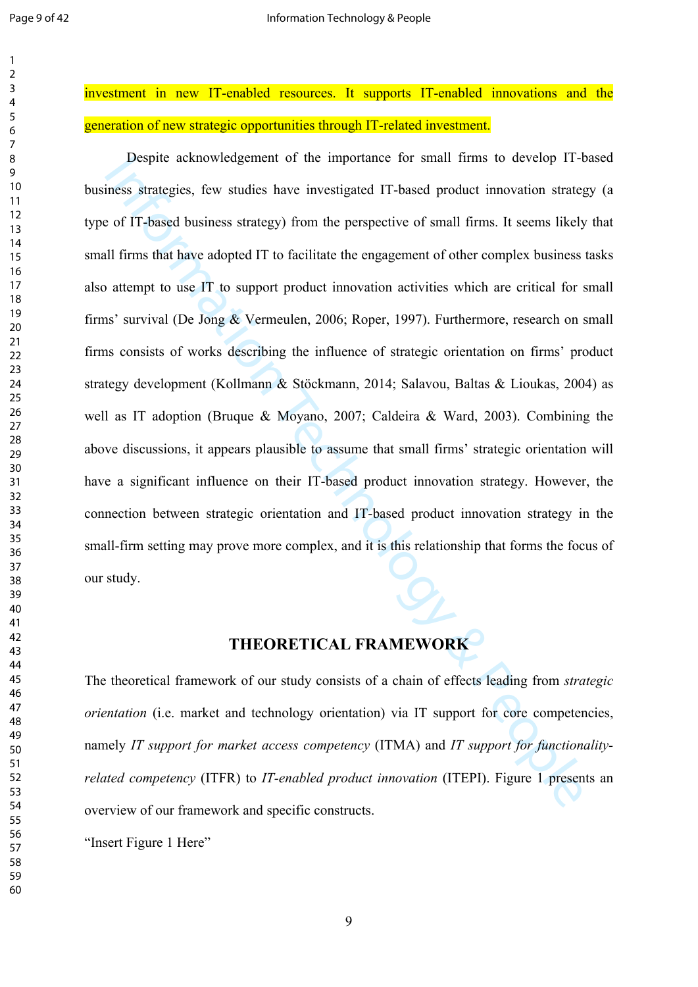investment in new IT-enabled resources. It supports IT-enabled innovations and the generation of new strategic opportunities through IT-related investment.

Inform[ati](#page-28-0)o[n](#page-29-9) [Te](#page-27-1)chnology & People Despite acknowledgement of the importance for small firms to develop IT-based business strategies, few studies have investigated IT-based product innovation strategy (a type of IT-based business strategy) from the perspective of small firms. It seems likely that small firms that have adopted IT to facilitate the engagement of other complex business tasks also attempt to use IT to support product innovation activities which are critical for small firms' survival (De Jong & Vermeulen, 2006; Roper, 1997). Furthermore, research on small firms consists of works describing the influence of strategic orientation on firms' product strategy development (Kollmann & Stöckmann, 2014; Salavou, Baltas & Lioukas, 2004) as well as IT adoption (Bruque & Moyano, 2007; Caldeira & Ward, 2003). Combining the above discussions, it appears plausible to assume that small firms' strategic orientation will have a significant influence on their IT-based product innovation strategy. However, the connection between strategic orientation and IT-based product innovation strategy in the small-firm setting may prove more complex, and it is this relationship that forms the focus of our study.

# **THEORETICAL FRAMEWORK**

The theoretical framework of our study consists of a chain of effects leading from *strategic orientation* (i.e. market and technology orientation) via IT support for core competencies, namely *IT support for market access competency* (ITMA) and *IT support for functionalityrelated competency* (ITFR) to *IT-enabled product innovation* (ITEPI). Figure 1 presents an overview of our framework and specific constructs.

"Insert Figure 1 Here"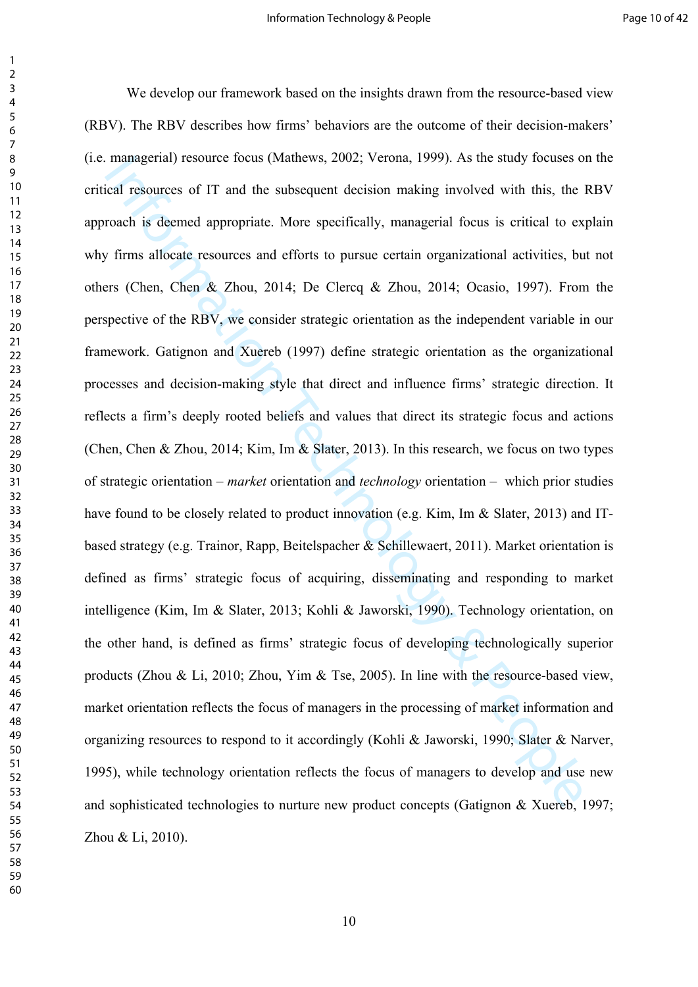[ma](#page-28-1)nagerial) resource focus (Mantews, 2002; Verona, 1999). As the study focuses or<br>al resources of IT and the subsequent decis[io](#page-29-5)n making inv[o](#page-29-10)lved with this, the<br>roach is deemed appropriate. More specifically, managerial fo We develop our framework based on the insights drawn from the resource-based view (RBV). The RBV describes how firms' behaviors are the outcome of their decision-makers' (i.e. managerial) resource focus (Mathews, 2002; Verona, 1999). As the study focuses on the critical resources of IT and the subsequent decision making involved with this, the RBV approach is deemed appropriate. More specifically, managerial focus is critical to explain why firms allocate resources and efforts to pursue certain organizational activities, but not others (Chen, Chen & Zhou, 2014; De Clercq & Zhou, 2014; Ocasio, 1997). From the perspective of the RBV, we consider strategic orientation as the independent variable in our framework. Gatignon and Xuereb (1997) define strategic orientation as the organizational processes and decision-making style that direct and influence firms' strategic direction. It reflects a firm's deeply rooted beliefs and values that direct its strategic focus and actions ([Chen, Chen & Zhou, 2014](#page-28-1); Kim, Im & Slater, 2013). In this research, we focus on two types of strategic orientation – *market* orientation and *technology* orientation – which prior studies have found to be closely related to product innovation (e.g. Kim, Im & Slater, 2013) and ITbased strategy (e.g. Trainor, Rapp, Beitelspacher & Schillewaert, 2011). Market orientation is defined as firms' strategic focus of acquiring, disseminating and responding to market intelligence (Kim, Im & Slater, 2013; Kohli & Jaworski, 1990). Technology orientation, on the other hand, is defined as firms' strategic focus of developing technologically superior products (Zhou & Li, 2010; Zhou, Yim & Tse, 2005). In line with the resource-based view, market orientation reflects the focus of managers in the processing of market information and organizing resources to respond to it accordingly (Kohli & Jaworski, 1990; [Slater & Narver,](#page-31-5)  ), while technology orientation reflects the focus of managers to develop and use new and sophisticated technologies to nurture new product concepts ([Gatignon & Xuereb, 1997;](#page-29-5) [Zhou & Li, 2010](#page-32-3)).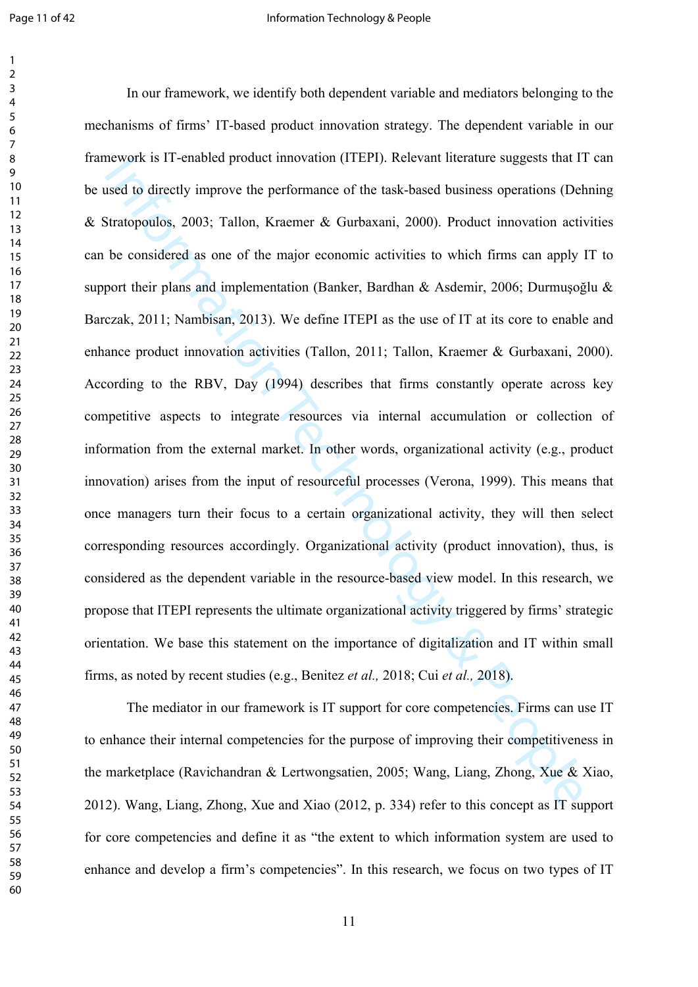nework is 11-enabled product innov[ati](#page-30-6)on (11EP1). Kelevant interature suggests that 1<br>ised to directly improve the performance of the task-based business operations (Deb<br>Tartapoulos, 2003; Tallon, Kraener & Gurbaxani, 2000) In our framework, we identify both dependent variable and mediators belonging to the mechanisms of firms' IT-based product innovation strategy. The dependent variable in our framework is IT-enabled product innovation (ITEPI). Relevant literature suggests that IT can be used to directly improve the performance of the task-based business operations ([Dehning](#page-28-7)  [& Stratopoulos, 2003;](#page-28-7) Tallon, Kraemer & Gurbaxani, 2000). Product innovation activities can be considered as one of the major economic activities to which firms can apply IT to support their plans and implementation (Banker, Bardhan & Asdemir, 2006; [Durmuşoğlu](#page-28-11) & [Barczak, 2011;](#page-28-11) Nambisan, 2013). We define ITEPI as the use of IT at its core to enable and enhance product innovation activities (Tallon, 2011; Tallon, Kraemer & Gurbaxani, 2000). According to the RBV, Day (1994) describes that firms constantly operate across key competitive aspects to integrate resources via internal accumulation or collection of information from the external market. In other words, organizational activity (e.g., product innovation) arises from the input of resourceful processes (Verona, 1999). This means that once managers turn their focus to a certain organizational activity, they will then select corresponding resources accordingly. Organizational activity (product innovation), thus, is considered as the dependent variable in the resource-based view model. In this research, we propose that ITEPI represents the ultimate organizational activity triggered by firms' strategic orientation. We base this statement on the importance of digitalization and IT within small firms, as noted by recent studies (e.g., Benitez *et al.,* 2018; Cui *et al.,* 2018).

The mediator in our framework is IT support for core competencies. Firms can use IT to enhance their internal competencies for the purpose of improving their competitiveness in the marketplace (Ravichandran & Lertwongsatien, 2005; [Wang, Liang, Zhong, Xue & Xiao,](#page-32-2)  [2012\)](#page-32-2). Wang, Liang, Zhong, Xue and Xiao (2012, p. 334) refer to this concept as IT support for core competencies and define it as "the extent to which information system are used to enhance and develop a firm's competencies". In this research, we focus on two types of IT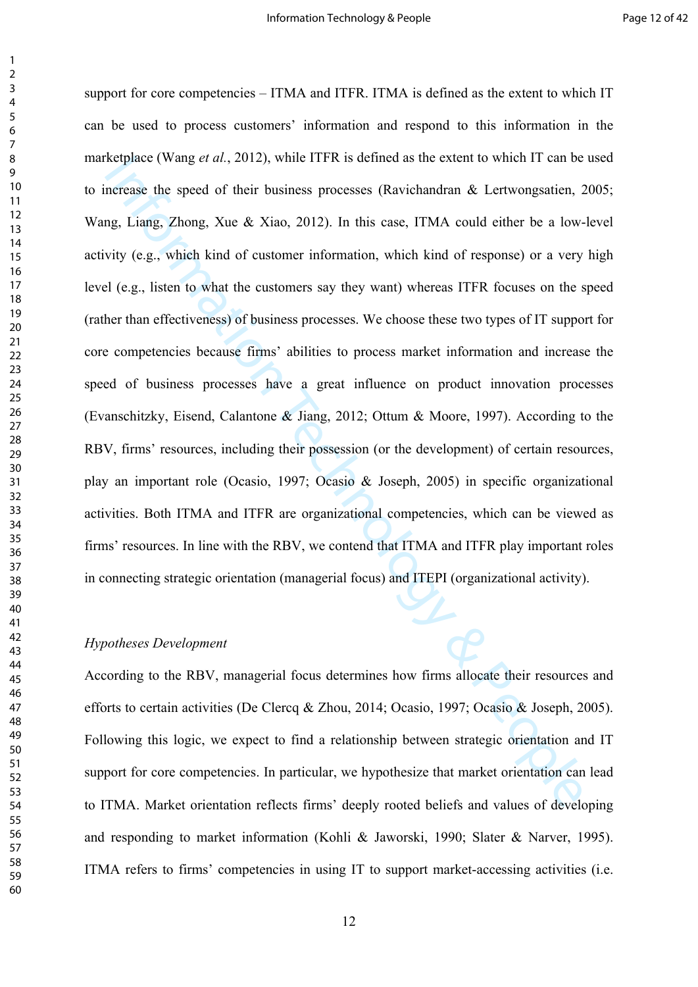Exeplace (wang *et al.*, 2012), while 11FK is defined as the extent to which 11 can be<br>
nerease the speed of their business processes (Ravichandran & Lertwongsatien, 2<br>
neg, Liang, Zhong, Xue & Xiao, 2012). In this case, support for core competencies – ITMA and ITFR. ITMA is defined as the extent to which IT can be used to process customers' information and respond to this information in the marketplace (Wang *et al.*, 2012), while ITFR is defined as the extent to which IT can be used to increase the speed of their business processes (Ravichandran & Lertwongsatien, 2005; Wang, Liang, Zhong, Xue & Xiao, 2012). In this case, ITMA could either be a low-level activity (e.g., which kind of customer information, which kind of response) or a very high level (e.g., listen to what the customers say they want) whereas ITFR focuses on the speed (rather than effectiveness) of business processes. We choose these two types of IT support for core competencies because firms' abilities to process market information and increase the speed of business processes have a great influence on product innovation processes (Evanschitzky, Eisend, Calantone & Jiang, 2012; Ottum & Moore, 1997). According to the RBV, firms' resources, including their possession (or the development) of certain resources, play an important role (Ocasio, 1997; Ocasio & Joseph, 2005) in specific organizational activities. Both ITMA and ITFR are organizational competencies, which can be viewed as firms' resources. In line with the RBV, we contend that ITMA and ITFR play important roles in connecting strategic orientation (managerial focus) and ITEPI (organizational activity).

#### *Hypotheses Development*

According to the RBV, managerial focus determines how firms allocate their resources and efforts to certain activities (De Clercq & Zhou, 2014; Ocasio, 1997; Ocasio & Joseph, 2005). Following this logic, we expect to find a relationship between strategic orientation and IT support for core competencies. In particular, we hypothesize that market orientation can lead to ITMA. Market orientation reflects firms' deeply rooted beliefs and values of developing and responding to market information [\(Kohli & Jaworski, 1990](#page-29-10); [Slater & Narver, 1995](#page-31-5)). ITMA refers to firms' competencies in using IT to support market-accessing activities (i.e.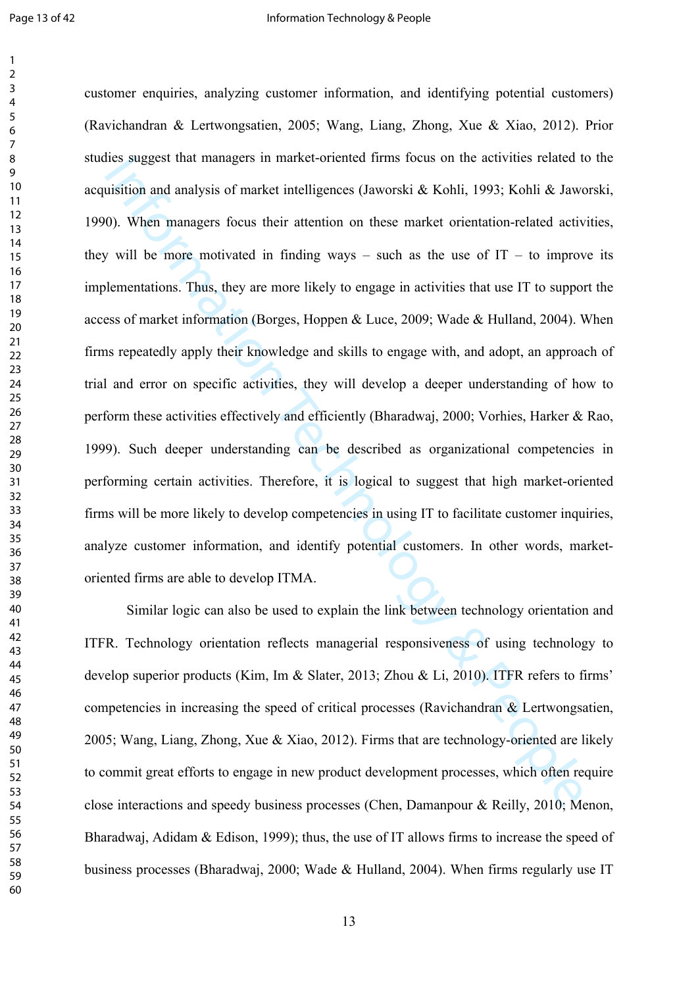thes suggest that managers [i](#page-27-3)n mark[e](#page-28-12)t-oriented tims focus on the activities related to<br>ististion and analysis of market intelligences (Jaworski & Kohli, 1993; Kohli & Jaw<br>(0). When managers focus their attention on these m customer enquiries, analyzing customer information, and identifying potential customers) ([Ravichandran & Lertwongsatien, 2005;](#page-31-7) [Wang, Liang, Zhong, Xue & Xiao, 2012\)](#page-32-2). Prior studies suggest that managers in market-oriented firms focus on the activities related to the acquisition and analysis of market intelligences (Jaworski & Kohli, 1993; [Kohli & Jaworski,](#page-29-10)  [1990\)](#page-29-10). When managers focus their attention on these market orientation-related activities, they will be more motivated in finding ways – such as the use of  $IT - to$  improve its implementations. Thus, they are more likely to engage in activities that use IT to support the access of market information (Borges, Hoppen & Luce, 2009; Wade & Hulland, 2004). When firms repeatedly apply their knowledge and skills to engage with, and adopt, an approach of trial and error on specific activities, they will develop a deeper understanding of how to perform these activities effectively and efficiently (Bharadwaj, 2000; [Vorhies, Harker & Rao,](#page-31-9)  [1999\)](#page-31-9). Such deeper understanding can be described as organizational competencies in performing certain activities. Therefore, it is logical to suggest that high market-oriented firms will be more likely to develop competencies in using IT to facilitate customer inquiries, analyze customer information, and identify potential customers. In other words, marketoriented firms are able to develop ITMA.

Similar logic can also be used to explain the link between technology orientation and ITFR. Technology orientation reflects managerial responsiveness of using technology to develop superior products (Kim, Im & Slater, 2013; Zhou & Li, 2010). ITFR refers to firms' competencies in increasing the speed of critical processes ([Ravichandran & Lertwongsatien,](#page-31-7)  ; Wang, Liang, Zhong, Xue & Xiao, 2012). Firms that are technology-oriented are likely to commit great efforts to engage in new product development processes, which often require close interactions and speedy business processes (Chen, Damanpour & Reilly, 2010; [Menon,](#page-30-10)  [Bharadwaj, Adidam & Edison, 1999](#page-30-10)); thus, the use of IT allows firms to increase the speed of business processes ([Bharadwaj, 2000;](#page-27-13) [Wade & Hulland, 2004](#page-31-8)). When firms regularly use IT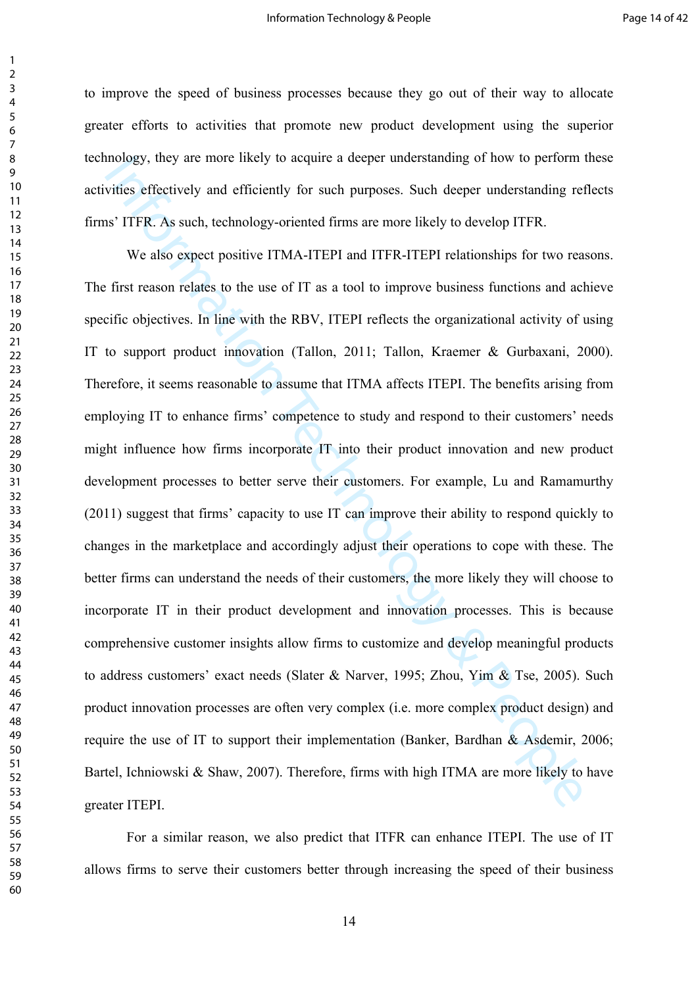to improve the speed of business processes because they go out of their way to allocate greater efforts to activities that promote new product development using the superior technology, they are more likely to acquire a deeper understanding of how to perform these activities effectively and efficiently for such purposes. Such deeper understanding reflects firms' ITFR. As such, technology-oriented firms are more likely to develop ITFR.

mology, they are more likely to acquire a deeper understanding of now to perform<br>vities effectively and efficiently for such purposes. Such deeper understanding rel<br>is<sup>3</sup> TFR. As such, technology-oriented firms are more li We also expect positive ITMA-ITEPI and ITFR-ITEPI relationships for two reasons. The first reason relates to the use of IT as a tool to improve business functions and achieve specific objectives. In line with the RBV, ITEPI reflects the organizational activity of using IT to support product innovation (Tallon, 2011; Tallon, Kraemer & Gurbaxani, 2000). Therefore, it seems reasonable to assume that ITMA affects ITEPI. The benefits arising from employing IT to enhance firms' competence to study and respond to their customers' needs might influence how firms incorporate IT into their product innovation and new product development processes to better serve their customers. For example, [Lu and Ramamurthy](#page-30-11)  [\(2011\)](#page-30-11) suggest that firms' capacity to use IT can improve their ability to respond quickly to changes in the marketplace and accordingly adjust their operations to cope with these. The better firms can understand the needs of their customers, the more likely they will choose to incorporate IT in their product development and innovation processes. This is because comprehensive customer insights allow firms to customize and develop meaningful products to address customers' exact needs (Slater & Narver, 1995; Zhou, Yim & Tse, 2005). Such product innovation processes are often very complex (i.e. more complex product design) and require the use of IT to support their implementation (Banker, Bardhan & Asdemir, 2006; [Bartel, Ichniowski & Shaw, 2007](#page-27-6)). Therefore, firms with high ITMA are more likely to have greater ITEPI.

For a similar reason, we also predict that ITFR can enhance ITEPI. The use of IT allows firms to serve their customers better through increasing the speed of their business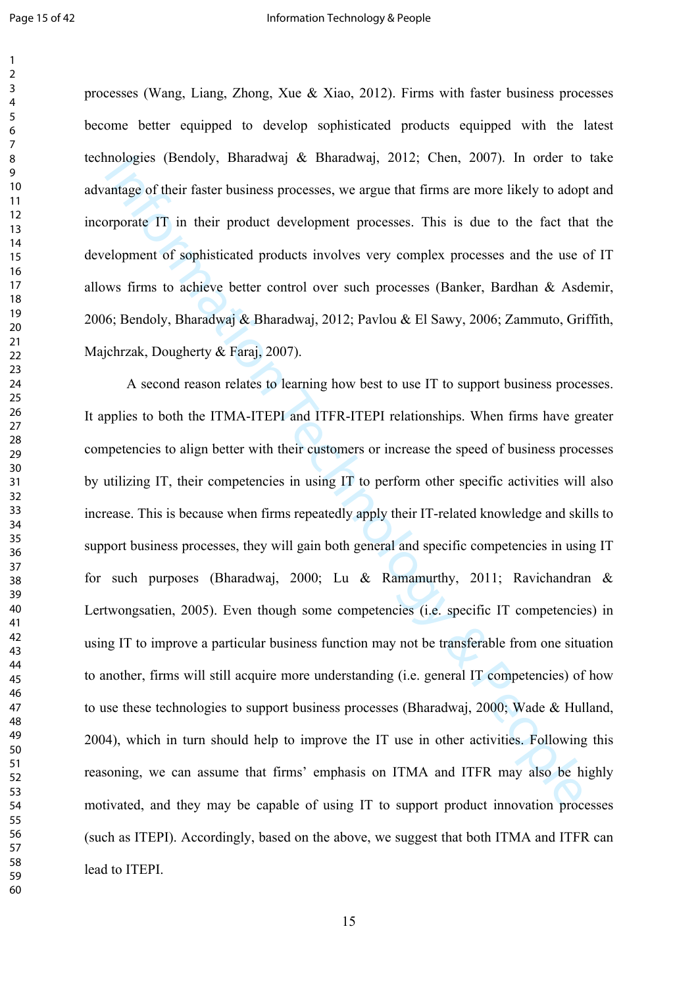processes ([Wang, Liang, Zhong, Xue & Xiao, 2012\)](#page-32-2). Firms with faster business processes become better equipped to develop sophisticated products equipped with the latest technologies ([Bendoly, Bharadwaj & Bharadwaj, 2012;](#page-27-7) [Chen, 2007](#page-28-3)). In order to take advantage of their faster business processes, we argue that firms are more likely to adopt and incorporate IT in their product development processes. This is due to the fact that the development of sophisticated products involves very complex processes and the use of IT allows firms to achieve better control over such processes ([Banker, Bardhan & Asdemir,](#page-27-11)  ; Bendoly, Bharadwaj & Bharadwaj, 2012; Pavlou & El Sawy, 2006; [Zammuto, Griffith,](#page-32-0)  Majchrzak, Dougherty & Faraj, 2007).

n[o](#page-32-0)l[og](#page-30-11)ies (Bendoly, Bharadwa) & Bharadwa), 2012; Chen, 2007). In order to<br>antage of their faster business processes, we argue that firms are more likely to adop<br>orporate IT in their product development processes. This is d A second reason relates to learning how best to use IT to support business processes. It applies to both the ITMA-ITEPI and ITFR-ITEPI relationships. When firms have greater competencies to align better with their customers or increase the speed of business processes by utilizing IT, their competencies in using IT to perform other specific activities will also increase. This is because when firms repeatedly apply their IT-related knowledge and skills to support business processes, they will gain both general and specific competencies in using IT for such purposes (Bharadwaj, 2000; Lu & Ramamurthy, 2011; [Ravichandran &](#page-31-7)  [Lertwongsatien, 2005](#page-31-7)). Even though some competencies (i.e. specific IT competencies) in using IT to improve a particular business function may not be transferable from one situation to another, firms will still acquire more understanding (i.e. general IT competencies) of how to use these technologies to support business processes (Bharadwaj, 2000; [Wade & Hulland,](#page-31-8)  ), which in turn should help to improve the IT use in other activities. Following this reasoning, we can assume that firms' emphasis on ITMA and ITFR may also be highly motivated, and they may be capable of using IT to support product innovation processes (such as ITEPI). Accordingly, based on the above, we suggest that both ITMA and ITFR can lead to ITEPI.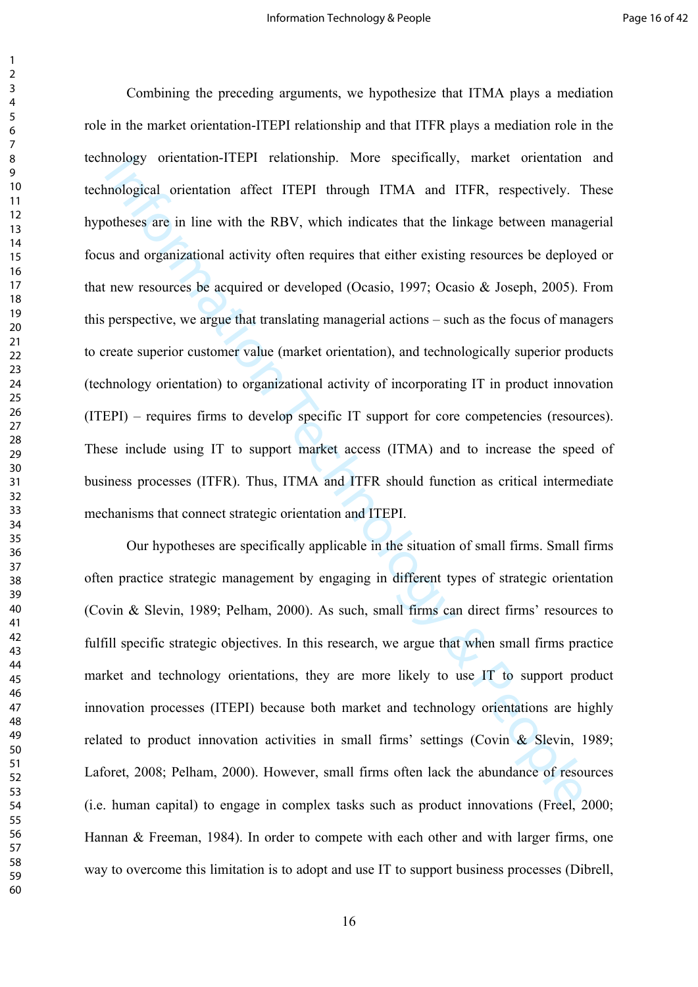Information-1112P1 relationship. More specifically, market orientation<br>mological orientation affect ITEPI through ITMA and ITFR, respectively. T<br>othese are in line with the RBV, which indicates that the linkage between man Combining the preceding arguments, we hypothesize that ITMA plays a mediation role in the market orientation-ITEPI relationship and that ITFR plays a mediation role in the technology orientation-ITEPI relationship. More specifically, market orientation and technological orientation affect ITEPI through ITMA and ITFR, respectively. These hypotheses are in line with the RBV, which indicates that the linkage between managerial focus and organizational activity often requires that either existing resources be deployed or that new resources be acquired or developed (Ocasio, 1997; Ocasio & Joseph, 2005). From this perspective, we argue that translating managerial actions – such as the focus of managers to create superior customer value (market orientation), and technologically superior products (technology orientation) to organizational activity of incorporating IT in product innovation (ITEPI) – requires firms to develop specific IT support for core competencies (resources). These include using IT to support market access (ITMA) and to increase the speed of business processes (ITFR). Thus, ITMA and ITFR should function as critical intermediate mechanisms that connect strategic orientation and ITEPI.

Our hypotheses are specifically applicable in the situation of small firms. Small firms often practice strategic management by engaging in different types of strategic orientation ([Covin & Slevin, 1989](#page-28-13); Pelham, 2000). As such, small firms can direct firms' resources to fulfill specific strategic objectives. In this research, we argue that when small firms practice market and technology orientations, they are more likely to use IT to support product innovation processes (ITEPI) because both market and technology orientations are highly related to product innovation activities in small firms' settings [\(Covin & Slevin, 1989;](#page-28-13) [Laforet, 2008;](#page-29-13) Pelham, 2000). However, small firms often lack the abundance of resources (i.e. human capital) to engage in complex tasks such as product innovations ([Freel, 2000;](#page-29-0) [Hannan & Freeman, 1984](#page-29-1)). In order to compete with each other and with larger firms, one way to overcome this limitation is to adopt and use IT to support business processes [\(Dibrell,](#page-28-2)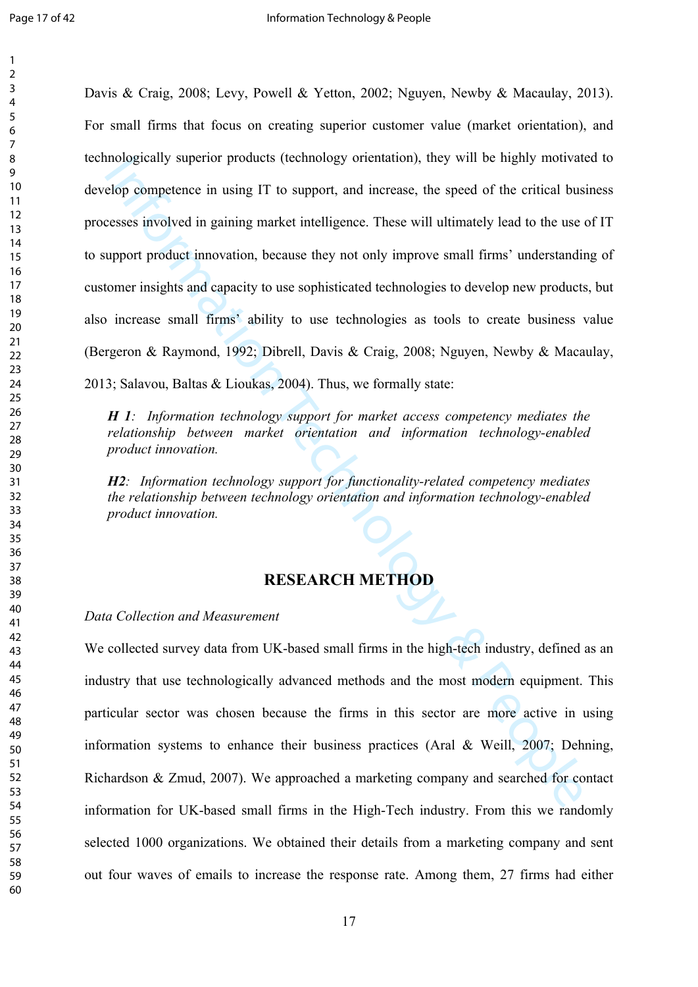Informat[io](#page-27-5)[n](#page-31-4) superior products (technology orientation), they will be nightly motivated<br>po competence in using I[T](#page-31-4) to support, and increase, the speed of the critical busesses involved in gaining market intelligence. These w [Davis & Craig, 2008](#page-28-2); [Levy, Powell & Yetton, 2002;](#page-30-2) [Nguyen, Newby & Macaulay, 2013](#page-30-1)). For small firms that focus on creating superior customer value (market orientation), and technologically superior products (technology orientation), they will be highly motivated to develop competence in using IT to support, and increase, the speed of the critical business processes involved in gaining market intelligence. These will ultimately lead to the use of IT to support product innovation, because they not only improve small firms' understanding of customer insights and capacity to use sophisticated technologies to develop new products, but also increase small firms' ability to use technologies as tools to create business value (Bergeron & Raymond, 1992; Dibrell, Davis & Craig, 2008; [Nguyen, Newby & Macaulay,](#page-30-1)  [2013;](#page-30-1) Salavou, Baltas & Lioukas, 2004). Thus, we formally state:

*H 1: Information technology support for market access competency mediates the relationship between market orientation and information technology-enabled product innovation.*

*H2: Information technology support for functionality-related competency mediates the relationship between technology orientation and information technology-enabled product innovation.*

## **RESEARCH METHOD**

*Data Collection and Measurement*

We collected survey data from UK-based small firms in the high-tech industry, defined as an industry that use technologically advanced methods and the most modern equipment. This particular sector was chosen because the firms in this sector are more active in using information systems to enhance their business practices (Aral & Weill, 2007; [Dehning,](#page-28-14)  Richardson & Zmud, 2007). We approached a marketing company and searched for contact information for UK-based small firms in the High-Tech industry. From this we randomly selected 1000 organizations. We obtained their details from a marketing company and sent out four waves of emails to increase the response rate. Among them, 27 firms had either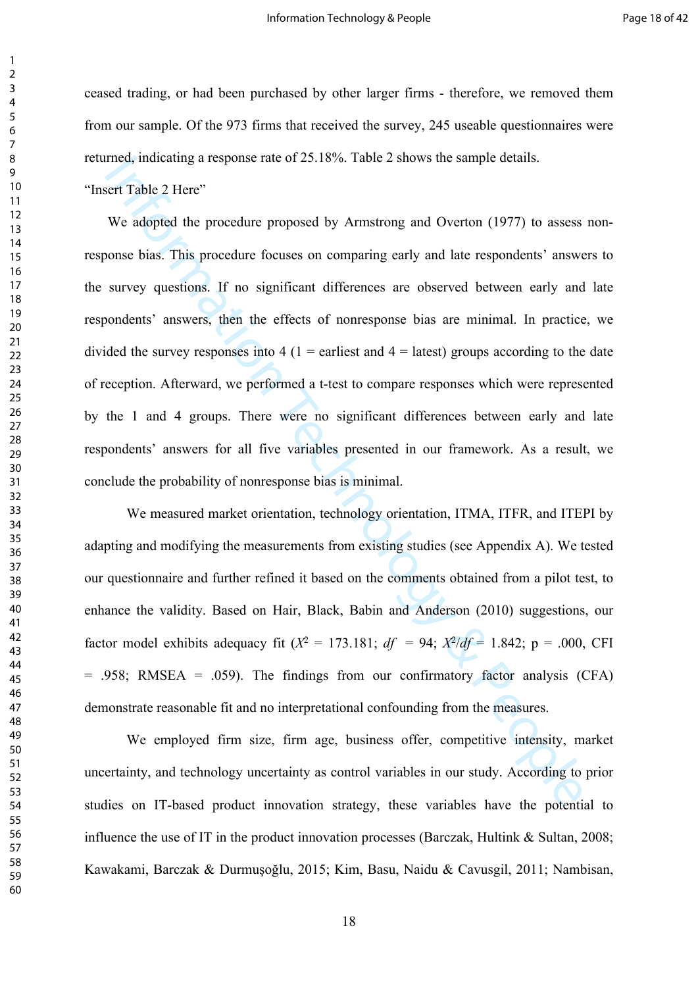ceased trading, or had been purchased by other larger firms - therefore, we removed them from our sample. Of the 973 firms that received the survey, 245 useable questionnaires were returned, indicating a response rate of 25.18%. Table 2 shows the sample details.

"Insert Table 2 Here"

emed, indicating a response rate of 25.18%. Table 2 shows the sample details.<br>
See Table 2 Here "<br>
We adopted the procedure proposed by Armstrong and Overton (1977) to assess<br>
brass This procedure proposed by Armstrong an We adopted the procedure proposed by Armstrong and Overton (1977) to assess nonresponse bias. This procedure focuses on comparing early and late respondents' answers to the survey questions. If no significant differences are observed between early and late respondents' answers, then the effects of nonresponse bias are minimal. In practice, we divided the survey responses into  $4(1 =$  earliest and  $4 =$  latest) groups according to the date of reception. Afterward, we performed a t-test to compare responses which were represented by the 1 and 4 groups. There were no significant differences between early and late respondents' answers for all five variables presented in our framework. As a result, we conclude the probability of nonresponse bias is minimal.

We measured market orientation, technology orientation, ITMA, ITFR, and ITEPI by adapting and modifying the measurements from existing studies (see Appendix A). We tested our questionnaire and further refined it based on the comments obtained from a pilot test, to enhance the validity. Based on Hair, Black, Babin and Anderson (2010) suggestions, our factor model exhibits adequacy fit  $(X^2 = 173.181; df = 94; X^2/df = 1.842; p = .000, CFI$  $= .958$ ; RMSEA  $= .059$ ). The findings from our confirmatory factor analysis (CFA) demonstrate reasonable fit and no interpretational confounding from the measures.

We employed firm size, firm age, business offer, competitive intensity, market uncertainty, and technology uncertainty as control variables in our study. According to prior studies on IT-based product innovation strategy, these variables have the potential to influence the use of IT in the product innovation processes ([Barczak, Hultink & Sultan, 2008;](#page-27-8) [Kawakami, Barczak &](#page-29-3) Durmuşoğlu, 2015; [Kim, Basu, Naidu & Cavusgil, 2011](#page-29-8); [Nambisan,](#page-30-6)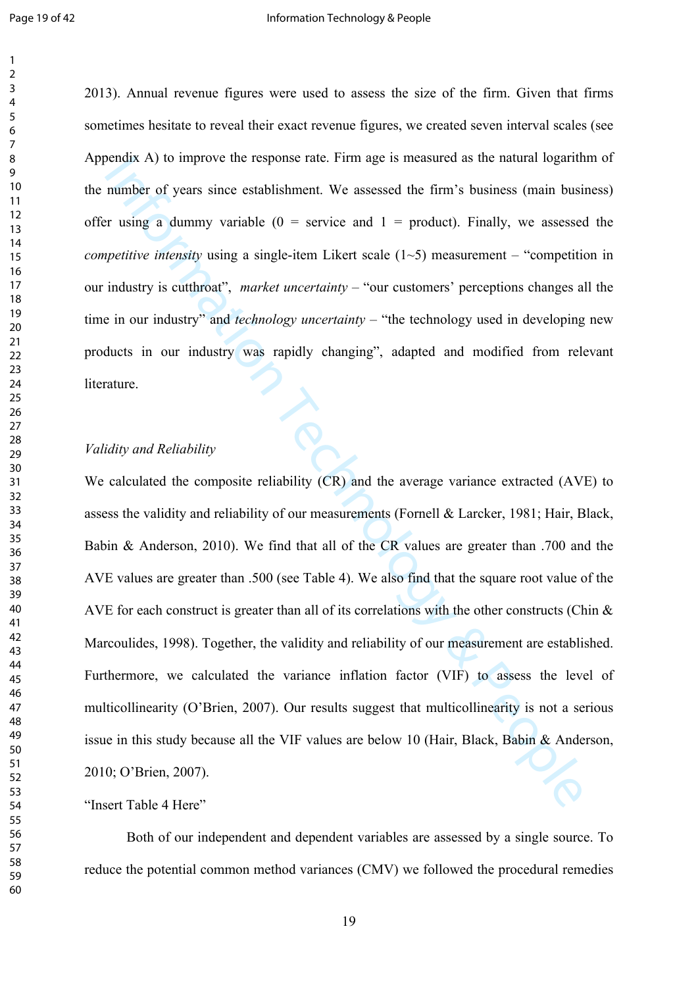). Annual revenue figures were used to assess the size of the firm. Given that firms sometimes hesitate to reveal their exact revenue figures, we created seven interval scales (see Appendix A) to improve the response rate. Firm age is measured as the natural logarithm of the number of years since establishment. We assessed the firm's business (main business) offer using a dummy variable  $(0 =$  service and  $1 =$  product). Finally, we assessed the *competitive intensity* using a single-item Likert scale (1~5) measurement – "competition in our industry is cutthroat", *market uncertainty* – "our customers' perceptions changes all the time in our industry" and *technology uncertainty* – "the technology used in developing new products in our industry was rapidly changing", adapted and modified from relevant<br>literature. literature.

#### *Validity and Reliability*

Bendix A) to improve the response rate. Firm age is measured as the natural logarithmumber of years since establishment. We assessed the firm's business (main busine in the minimal of  $\alpha$  is a dummy variable ( $0 =$  servic We calculated the composite reliability (CR) and the average variance extracted (AVE) to assess the validity and reliability of our measurements (Fornell & Larcker, 1981; [Hair, Black,](#page-29-14)  Babin & Anderson, 2010). We find that all of the CR values are greater than .700 and the AVE values are greater than .500 (see Table 4). We also find that the square root value of the AVE for each construct is greater than all of its correlations with the other constructs (Chin  $\&$ [Marcoulides, 1998](#page-28-15)). Together, the validity and reliability of our measurement are established. Furthermore, we calculated the variance inflation factor (VIF) to assess the level of multicollinearity (O'Brien, 2007). Our results suggest that multicollinearity is not a serious issue in this study because all the VIF values are below 10 (Hair, Black, Babin  $\&$  Anderson, [2010;](#page-29-14) O'Brien, 2007).

"Insert Table 4 Here"

Both of our independent and dependent variables are assessed by a single source. To reduce the potential common method variances (CMV) we followed the procedural remedies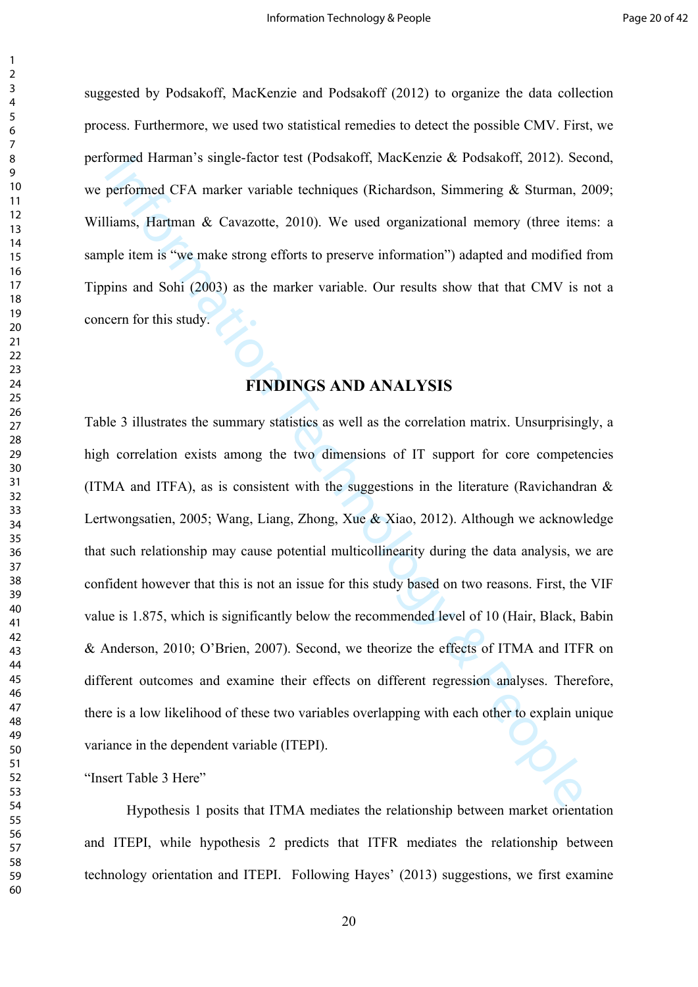suggested by [Podsakoff, MacKenzie and Podsakoff \(2012\)](#page-31-11) to organize the data collection process. Furthermore, we used two statistical remedies to detect the possible CMV. First, we performed Harman's single-factor test [\(Podsakoff, MacKenzie & Podsakoff, 2012](#page-31-11)). Second, we performed CFA marker variable techniques (Richardson, Simmering & Sturman, 2009; Williams, Hartman & Cavazotte, 2010). We used organizational memory (three items: a sample item is "we make strong efforts to preserve information") adapted and modified from [Tippins and Sohi \(2003](#page-31-13)) as the marker variable. Our results show that that CMV is not a concern for this study.

## **FINDINGS AND ANALYSIS**

ormed Harman s single-tactor test (Protsakort, Mackenzie & Protsakort, 2012). See<br>per[fo](#page-32-5)rmed CFA marker variable techniques (Richardson, Simmering & Sturman, 2<br>ilams, Hartman & Cavazotte, 2010). We used organizational memor Table 3 illustrates the summary statistics as well as the correlation matrix. Unsurprisingly, a high correlation exists among the two dimensions of IT support for core competencies (ITMA and ITFA), as is consistent with the suggestions in the literature (Ravichandran  $\&$ [Lertwongsatien, 2005](#page-31-7); Wang, Liang, Zhong, Xue & Xiao, 2012). Although we acknowledge that such relationship may cause potential multicollinearity during the data analysis, we are confident however that this is not an issue for this study based on two reasons. First, the VIF value is 1.875, which is significantly below the recommended level of 10 ([Hair, Black, Babin](#page-29-14)  [& Anderson, 2010](#page-29-14); O'Brien, 2007). Second, we theorize the effects of ITMA and ITFR on different outcomes and examine their effects on different regression analyses. Therefore, there is a low likelihood of these two variables overlapping with each other to explain unique variance in the dependent variable (ITEPI).

"Insert Table 3 Here"

Hypothesis 1 posits that ITMA mediates the relationship between market orientation and ITEPI, while hypothesis 2 predicts that ITFR mediates the relationship between technology orientation and ITEPI. Following Hayes' (2013) suggestions, we first examine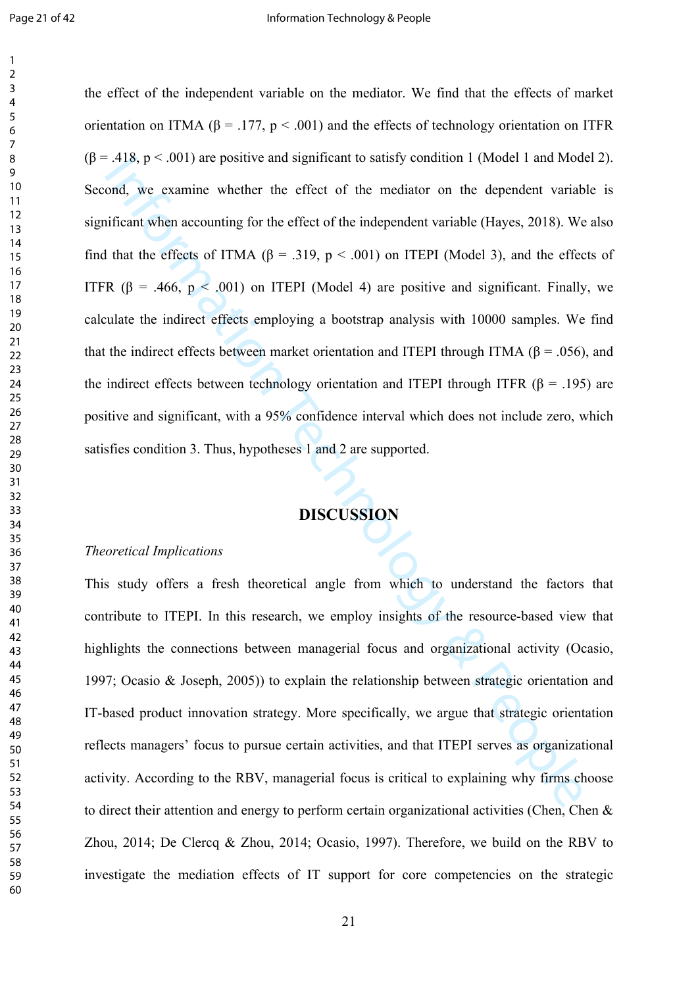418, p < .001) are positive and significant to satisfy condition 1 (Model 1 and Modord, we examine whether the effect of the mediator on the dependent variable (Hayes, 2018). We that the effects of FTMA (β = .319, p < .0 the effect of the independent variable on the mediator. We find that the effects of market orientation on ITMA ( $\beta$  = .177,  $p < .001$ ) and the effects of technology orientation on ITFR  $(\beta = .418, p < .001)$  are positive and significant to satisfy condition 1 (Model 1 and Model 2). Second, we examine whether the effect of the mediator on the dependent variable is significant when accounting for the effect of the independent variable (Hayes, 2018). We also find that the effects of ITMA ( $\beta$  = .319,  $p < .001$ ) on ITEPI (Model 3), and the effects of ITFR ( $\beta$  = .466,  $p < .001$ ) on ITEPI (Model 4) are positive and significant. Finally, we calculate the indirect effects employing a bootstrap analysis with 10000 samples. We find that the indirect effects between market orientation and ITEPI through ITMA ( $\beta$  = .056), and the indirect effects between technology orientation and ITEPI through ITFR ( $\beta$  = .195) are positive and significant, with a 95% confidence interval which does not include zero, which satisfies condition 3. Thus, hypotheses 1 and 2 are supported.

# **DISCUSSION**

#### *Theoretical Implications*

This study offers a fresh theoretical angle from which to understand the factors that contribute to ITEPI. In this research, we employ insights of the resource-based view that highlights the connections between managerial focus and organizational activity (Ocasio, ; Ocasio & Joseph, 2005)) to explain the relationship between strategic orientation and IT-based product innovation strategy. More specifically, we argue that strategic orientation reflects managers' focus to pursue certain activities, and that ITEPI serves as organizational activity. According to the RBV, managerial focus is critical to explaining why firms choose to direct their attention and energy to perform certain organizational activities ([Chen, Chen &](#page-28-1)  [Zhou, 2014;](#page-28-1) [De Clercq & Zhou, 2014](#page-28-10); [Ocasio, 1997](#page-30-7)). Therefore, we build on the RBV to investigate the mediation effects of IT support for core competencies on the strategic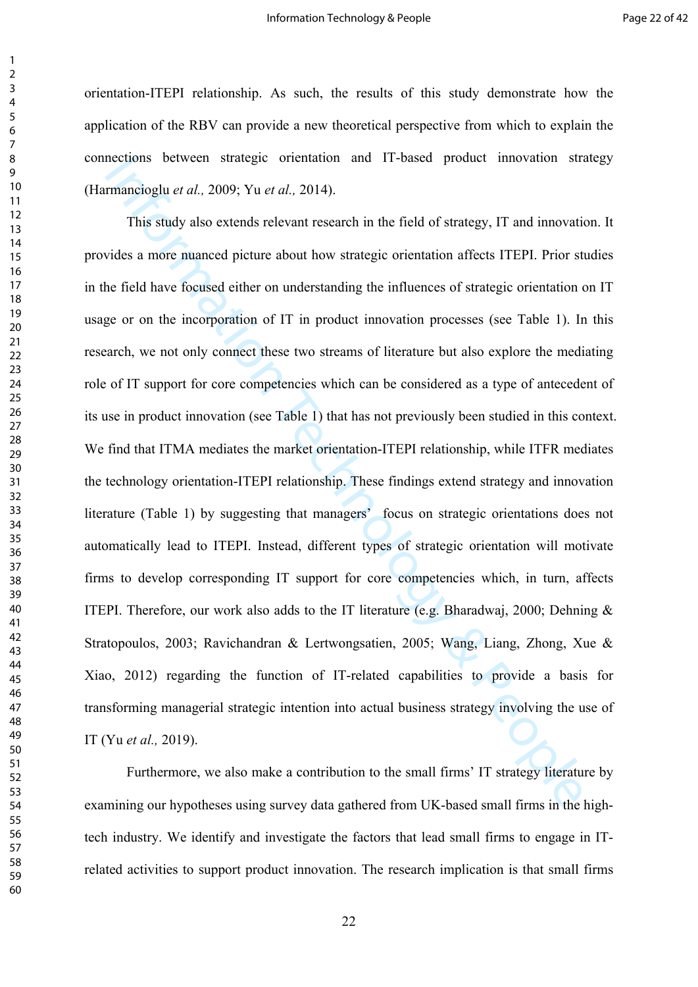orientation-ITEPI relationship. As such, the results of this study demonstrate how the application of the RBV can provide a new theoretical perspective from which to explain the connections between strategic orientation and IT-based product innovation strategy (Harmancioglu *et al.,* 2009; Yu *et al.,* 2014).

nections between strategic orientation and 11-based product innovation stranding<br>mancinglu et al., 2009; Yu et al., 2014).<br>This stud[y](#page-27-13) also extends relevant research in the field of strategy, IT and innovation<br>vides a more This study also extends relevant research in the field of strategy, IT and innovation. It provides a more nuanced picture about how strategic orientation affects ITEPI. Prior studies in the field have focused either on understanding the influences of strategic orientation on IT usage or on the incorporation of IT in product innovation processes (see Table 1). In this research, we not only connect these two streams of literature but also explore the mediating role of IT support for core competencies which can be considered as a type of antecedent of its use in product innovation (see Table 1) that has not previously been studied in this context. We find that ITMA mediates the market orientation-ITEPI relationship, while ITFR mediates the technology orientation-ITEPI relationship. These findings extend strategy and innovation literature (Table 1) by suggesting that managers' focus on strategic orientations does not automatically lead to ITEPI. Instead, different types of strategic orientation will motivate firms to develop corresponding IT support for core competencies which, in turn, affects ITEPI. Therefore, our work also adds to the IT literature (e.g. Bharadwaj, 2000; [Dehning &](#page-28-7)  [Stratopoulos, 2003;](#page-28-7) Ravichandran & Lertwongsatien, 2005; [Wang, Liang, Zhong, Xue &](#page-32-2)  [Xiao, 2012](#page-32-2)) regarding the function of IT-related capabilities to provide a basis for transforming managerial strategic intention into actual business strategy involving the use of IT (Yu *et al.,* 2019).

Furthermore, we also make a contribution to the small firms' IT strategy literature by examining our hypotheses using survey data gathered from UK-based small firms in the hightech industry. We identify and investigate the factors that lead small firms to engage in ITrelated activities to support product innovation. The research implication is that small firms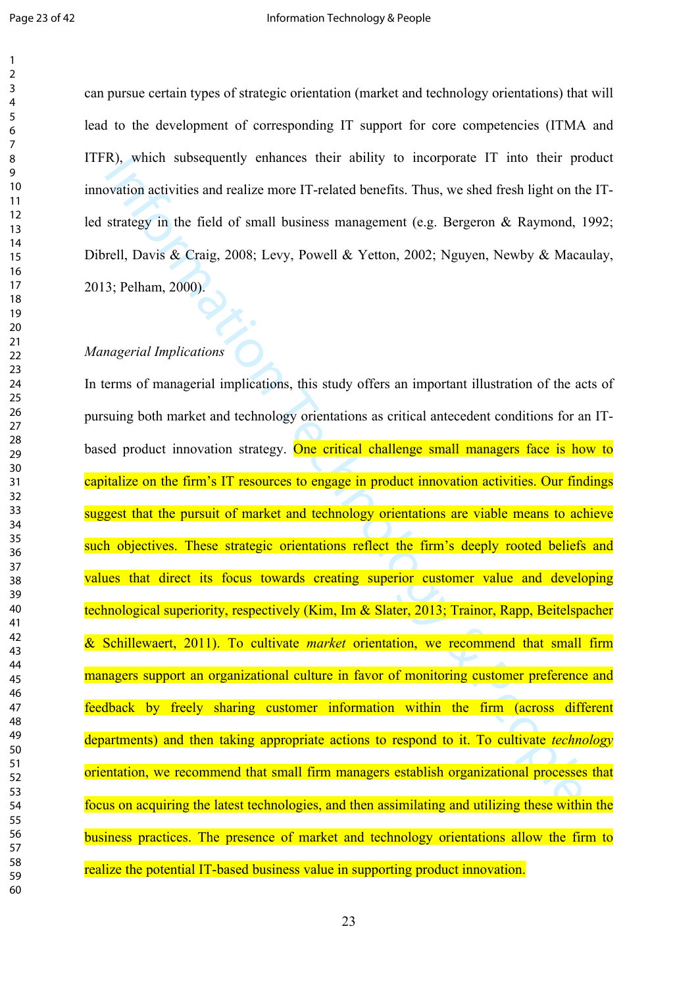can pursue certain types of strategic orientation (market and technology orientations) that will lead to the development of corresponding IT support for core competencies (ITMA and ITFR), which subsequently enhances their ability to incorporate IT into their product innovation activities and realize more IT-related benefits. Thus, we shed fresh light on the ITled strategy in the field of small business management (e.g. Bergeron & Raymond, 1992; Dibrell, Davis & Craig, 2008; Levy, Powell & Yetton, 2002; [Nguyen, Newby & Macaulay,](#page-30-1)  ; Pelham, 2000).

### *Managerial Implications*

IN), which subsequently enh[a](#page-31-10)nces their ability to incorporate 11 into their provation activities and realize more IT-related benefits. Thus, we shed fresh light on the strate[gy](#page-29-2) in the field of small business management (e In terms of managerial implications, this study offers an important illustration of the acts of pursuing both market and technology orientations as critical antecedent conditions for an ITbased product innovation strategy. One critical challenge small managers face is how to capitalize on the firm's IT resources to engage in product innovation activities. Our findings suggest that the pursuit of market and technology orientations are viable means to achieve such objectives. These strategic orientations reflect the firm's deeply rooted beliefs and values that direct its focus towards creating superior customer value and developing technological superiority, respectively (Kim, Im & Slater, 2013; [Trainor, Rapp, Beitelspacher](#page-31-3)  [& Schillewaert, 2011\)](#page-31-3). To cultivate *market* orientation, we recommend that small firm managers support an organizational culture in favor of monitoring customer preference and feedback by freely sharing customer information within the firm (across different departments) and then taking appropriate actions to respond to it. To cultivate *technology* orientation, we recommend that small firm managers establish organizational processes that focus on acquiring the latest technologies, and then assimilating and utilizing these within the business practices. The presence of market and technology orientations allow the firm to realize the potential IT-based business value in supporting product innovation.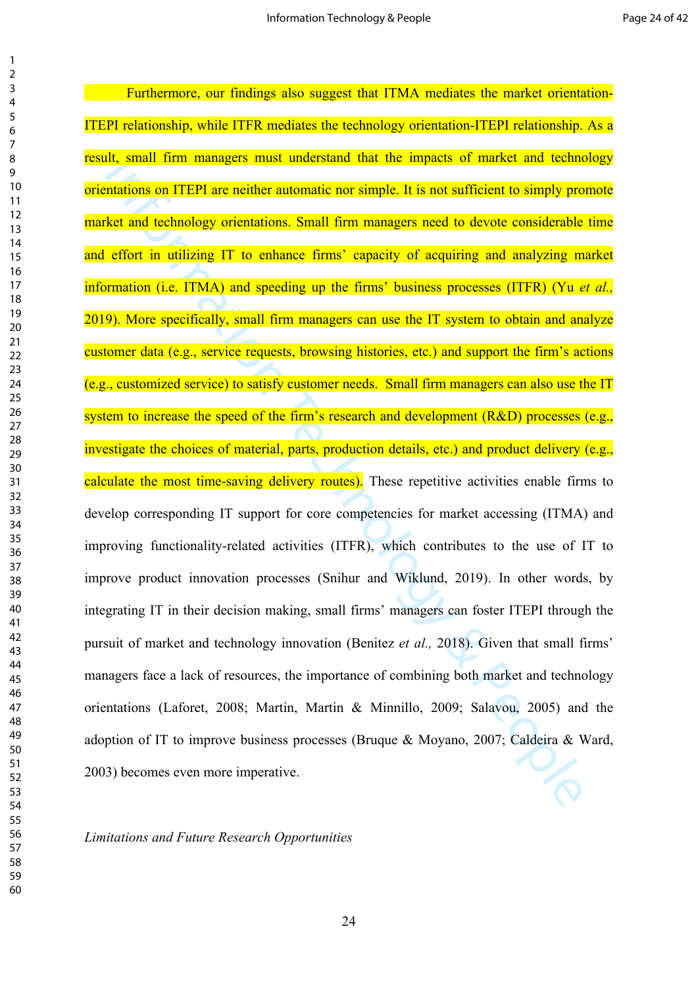It, small tim managers must understand that the impacts of market and echnologieal<br>mattions on ITEPI are neither automatic nor simple. It is not sufficient to simply pro<br>het and technology orientations. Small firm manager Furthermore, our findings also suggest that ITMA mediates the market orientation-ITEPI relationship, while ITFR mediates the technology orientation-ITEPI relationship. As a result, small firm managers must understand that the impacts of market and technology orientations on ITEPI are neither automatic nor simple. It is not sufficient to simply promote market and technology orientations. Small firm managers need to devote considerable time and effort in utilizing IT to enhance firms' capacity of acquiring and analyzing market information (i.e. ITMA) and speeding up the firms' business processes (ITFR) (Yu *et al.,* 2019). More specifically, small firm managers can use the IT system to obtain and analyze customer data (e.g., service requests, browsing histories, etc.) and support the firm's actions (e.g., customized service) to satisfy customer needs. Small firm managers can also use the IT system to increase the speed of the firm's research and development (R&D) processes (e.g., investigate the choices of material, parts, production details, etc.) and product delivery (e.g., calculate the most time-saving delivery routes). These repetitive activities enable firms to develop corresponding IT support for core competencies for market accessing (ITMA) and improving functionality-related activities (ITFR), which contributes to the use of IT to improve product innovation processes (Snihur and Wiklund, 2019). In other words, by integrating IT in their decision making, small firms' managers can foster ITEPI through the pursuit of market and technology innovation (Benitez *et al.,* 2018). Given that small firms' managers face a lack of resources, the importance of combining both market and technology orientations (Laforet, 2008; Martin, Martin & Minnillo, 2009; Salavou, 2005) and the adoption of IT to improve business processes (Bruque & Moyano, 2007; [Caldeira & Ward,](#page-27-12)  ) becomes even more imperative.

*Limitations and Future Research Opportunities*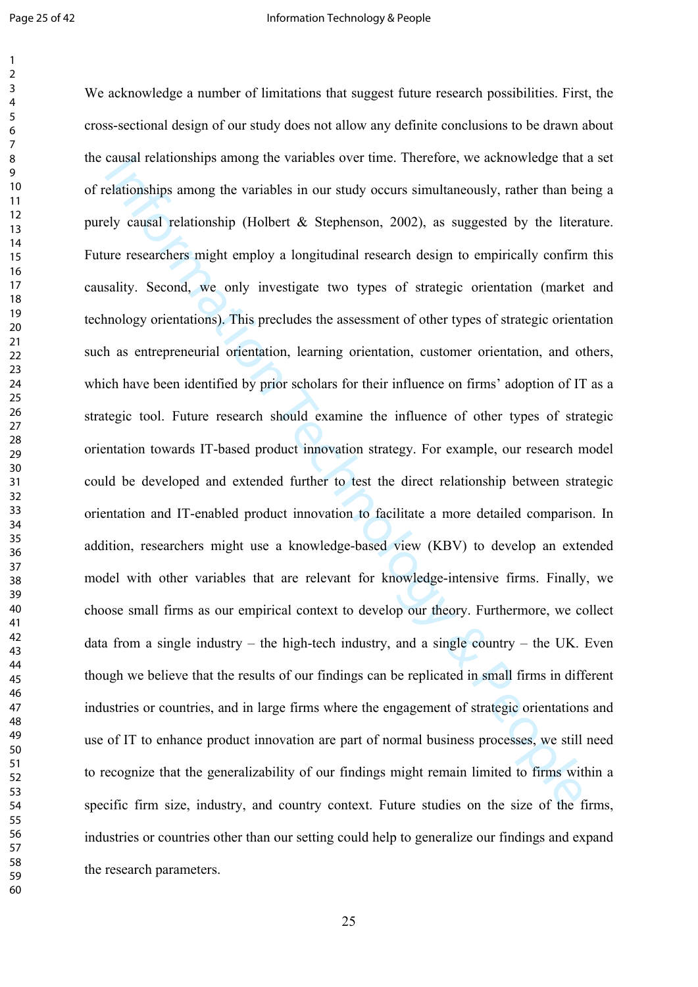causal relationships among the variables over time. I neterore, we acknowiedge that<br>elationships among the variables in our study occurs simultaneously, rather than be<br>by causal relationship (Holbert & Stephenson, 2002), a We acknowledge a number of limitations that suggest future research possibilities. First, the cross-sectional design of our study does not allow any definite conclusions to be drawn about the causal relationships among the variables over time. Therefore, we acknowledge that a set of relationships among the variables in our study occurs simultaneously, rather than being a purely causal relationship (Holbert & Stephenson, 2002), as suggested by the literature. Future researchers might employ a longitudinal research design to empirically confirm this causality. Second, we only investigate two types of strategic orientation (market and technology orientations). This precludes the assessment of other types of strategic orientation such as entrepreneurial orientation, learning orientation, customer orientation, and others, which have been identified by prior scholars for their influence on firms' adoption of IT as a strategic tool. Future research should examine the influence of other types of strategic orientation towards IT-based product innovation strategy. For example, our research model could be developed and extended further to test the direct relationship between strategic orientation and IT-enabled product innovation to facilitate a more detailed comparison. In addition, researchers might use a knowledge-based view (KBV) to develop an extended model with other variables that are relevant for knowledge-intensive firms. Finally, we choose small firms as our empirical context to develop our theory. Furthermore, we collect data from a single industry – the high-tech industry, and a single country – the UK. Even though we believe that the results of our findings can be replicated in small firms in different industries or countries, and in large firms where the engagement of strategic orientations and use of IT to enhance product innovation are part of normal business processes, we still need to recognize that the generalizability of our findings might remain limited to firms within a specific firm size, industry, and country context. Future studies on the size of the firms, industries or countries other than our setting could help to generalize our findings and expand the research parameters.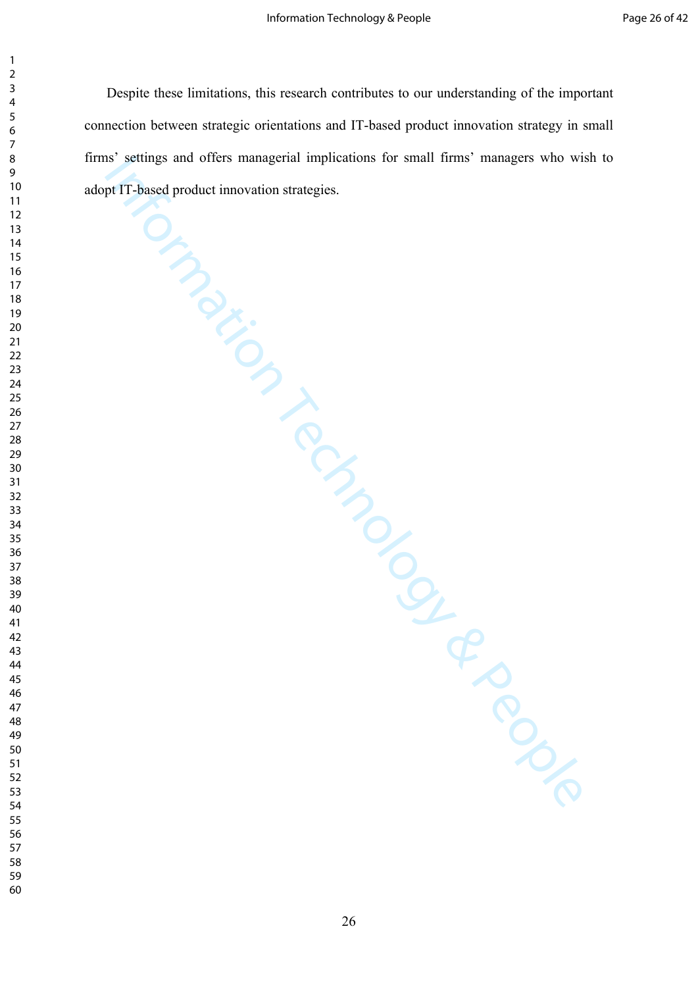In settings and offers managerial implications for small times managers who will<br>prefit hased product imporation strategies. Despite these limitations, this research contributes to our understanding of the important connection between strategic orientations and IT-based product innovation strategy in small firms' settings and offers managerial implications for small firms' managers who wish to adopt IT-based product innovation strategies.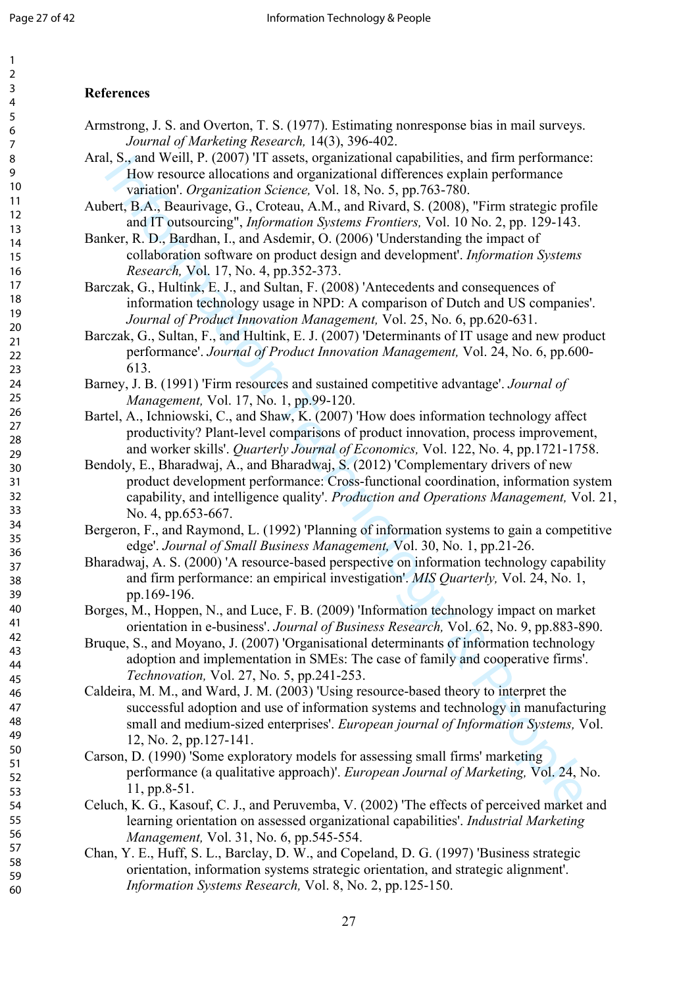#### 2 3 4 5 6 7 8 9 10 11 12 13 14 15 16 17 18 19 20 21 22 23 24 25 26 27 28 29 30 31 32 33 34 35 36 37 38 39 40 41 42 43 44 45 46 47 48 49 50 51 52 53 54 55 56 57 58 59

60

# <span id="page-27-20"></span><span id="page-27-19"></span><span id="page-27-17"></span>**References**

- <span id="page-27-18"></span>Armstrong, J. S. and Overton, T. S. (1977). Estimating nonresponse bias in mail surveys. *Journal of Marketing Research,* 14(3), 396-402.
- <span id="page-27-14"></span>Aral, S., and Weill, P. (2007) 'IT assets, organizational capabilities, and firm performance: How resource allocations and organizational differences explain performance variation'. *Organization Science,* Vol. 18, No. 5, pp.763-780.
- Aubert, B.A., Beaurivage, G., Croteau, A.M., and Rivard, S. (2008), "Firm strategic profile and IT outsourcing", *Information Systems Frontiers,* Vol. 10 No. 2, pp. 129-143.
- <span id="page-27-11"></span>Banker, R. D., Bardhan, I., and Asdemir, O. (2006) 'Understanding the impact of collaboration software on product design and development'. *Information Systems Research,* Vol. 17, No. 4, pp.352-373.
- <span id="page-27-8"></span>Barczak, G., Hultink, E. J., and Sultan, F. (2008) 'Antecedents and consequences of information technology usage in NPD: A comparison of Dutch and US companies'. *Journal of Product Innovation Management,* Vol. 25, No. 6, pp.620-631.
- <span id="page-27-9"></span>Barczak, G., Sultan, F., and Hultink, E. J. (2007) 'Determinants of IT usage and new product performance'. *Journal of Product Innovation Management,* Vol. 24, No. 6, pp.600- 613.
- <span id="page-27-2"></span>Barney, J. B. (1991) 'Firm resources and sustained competitive advantage'. *Journal of Management,* Vol. 17, No. 1, pp.99-120.
- <span id="page-27-6"></span>Bartel, A., Ichniowski, C., and Shaw, K. (2007) 'How does information technology affect productivity? Plant-level comparisons of product innovation, process improvement, and worker skills'. *Quarterly Journal of Economics,* Vol. 122, No. 4, pp.1721-1758.
- <span id="page-27-7"></span>Bendoly, E., Bharadwaj, A., and Bharadwaj, S. (2012) 'Complementary drivers of new product development performance: Cross-functional coordination, information system capability, and intelligence quality'. *Production and Operations Management,* Vol. 21, No. 4, pp.653-667.
- <span id="page-27-16"></span><span id="page-27-5"></span>Bergeron, F., and Raymond, L. (1992) 'Planning of information systems to gain a competitive edge'. *Journal of Small Business Management,* Vol. 30, No. 1, pp.21-26.
- <span id="page-27-15"></span><span id="page-27-13"></span>Bharadwaj, A. S. (2000) 'A resource-based perspective on information technology capability and firm performance: an empirical investigation'. *MIS Quarterly,* Vol. 24, No. 1, pp.169-196.
- <span id="page-27-3"></span>Borges, M., Hoppen, N., and Luce, F. B. (2009) 'Information technology impact on market orientation in e-business'. *Journal of Business Research,* Vol. 62, No. 9, pp.883-890.
- <span id="page-27-12"></span><span id="page-27-1"></span>Bruque, S., and Moyano, J. (2007) 'Organisational determinants of information technology adoption and implementation in SMEs: The case of family and cooperative firms'. *Technovation,* Vol. 27, No. 5, pp.241-253.
- <span id="page-27-21"></span>1, S., and Weil,  $V$ . (2007) 11 assets, organizational dispensions, and trim performance<br>various can degenizational differences explain performance<br>various. Assumption of the constrained by the section  $\mathcal{L}_{\text{C}}$  and Caldeira, M. M., and Ward, J. M. (2003) 'Using resource-based theory to interpret the successful adoption and use of information systems and technology in manufacturing small and medium-sized enterprises'. *European journal of Information Systems,* Vol. 12, No. 2, pp.127-141.
- <span id="page-27-0"></span>Carson, D. (1990) 'Some exploratory models for assessing small firms' marketing performance (a qualitative approach)'. *European Journal of Marketing,* Vol. 24, No. 11, pp.8-51.
- <span id="page-27-10"></span>Celuch, K. G., Kasouf, C. J., and Peruvemba, V. (2002) 'The effects of perceived market and learning orientation on assessed organizational capabilities'. *Industrial Marketing Management,* Vol. 31, No. 6, pp.545-554.
- <span id="page-27-4"></span>Chan, Y. E., Huff, S. L., Barclay, D. W., and Copeland, D. G. (1997) 'Business strategic orientation, information systems strategic orientation, and strategic alignment'. *Information Systems Research,* Vol. 8, No. 2, pp.125-150.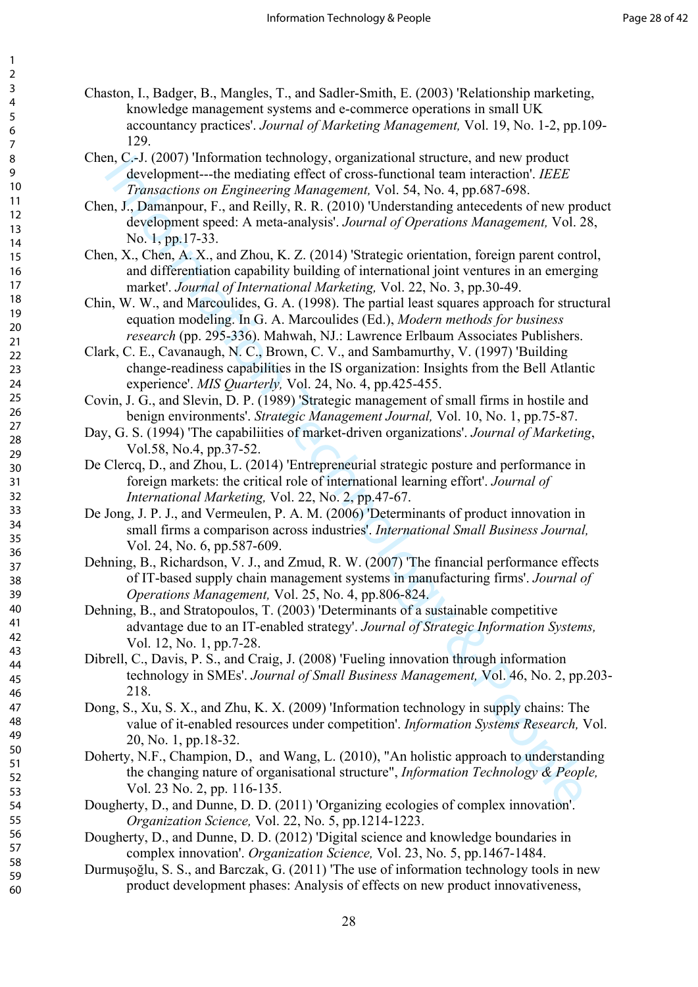- <span id="page-28-18"></span><span id="page-28-17"></span><span id="page-28-16"></span><span id="page-28-6"></span>Chaston, I., Badger, B., Mangles, T., and Sadler-Smith, E. (2003) 'Relationship marketing, knowledge management systems and e-commerce operations in small UK accountancy practices'. *Journal of Marketing Management,* Vol. 19, No. 1-2, pp.109- 129.
- <span id="page-28-3"></span>Chen, C.-J. (2007) 'Information technology, organizational structure, and new product development---the mediating effect of cross-functional team interaction'. *IEEE Transactions on Engineering Management,* Vol. 54, No. 4, pp.687-698.
- <span id="page-28-12"></span>Chen, J., Damanpour, F., and Reilly, R. R. (2010) 'Understanding antecedents of new product development speed: A meta-analysis'. *Journal of Operations Management,* Vol. 28, No. 1, pp.17-33.
- <span id="page-28-1"></span>Chen, X., Chen, A. X., and Zhou, K. Z. (2014) 'Strategic orientation, foreign parent control, and differentiation capability building of international joint ventures in an emerging market'. *Journal of International Marketing,* Vol. 22, No. 3, pp.30-49.
- <span id="page-28-15"></span>Chin, W. W., and Marcoulides, G. A. (1998). The partial least squares approach for structural equation modeling. In G. A. Marcoulides (Ed.), *Modern methods for business research* (pp. 295-336). Mahwah, NJ.: Lawrence Erlbaum Associates Publishers.
- <span id="page-28-19"></span><span id="page-28-5"></span>Clark, C. E., Cavanaugh, N. C., Brown, C. V., and Sambamurthy, V. (1997) 'Building change-readiness capabilities in the IS organization: Insights from the Bell Atlantic experience'. *MIS Quarterly,* Vol. 24, No. 4, pp.425-455.
- <span id="page-28-13"></span>Covin, J. G., and Slevin, D. P. (1989) 'Strategic management of small firms in hostile and benign environments'. *Strategic Management Journal,* Vol. 10, No. 1, pp.75-87.
- Day, G. S. (1994) 'The capabiliities of market-driven organizations'. *Journal of Marketing*, Vol.58, No.4, pp.37-52.
- <span id="page-28-10"></span>De Clercq, D., and Zhou, L. (2014) 'Entrepreneurial strategic posture and performance in foreign markets: the critical role of international learning effort'. *Journal of International Marketing,* Vol. 22, No. 2, pp.47-67.
- <span id="page-28-0"></span>De Jong, J. P. J., and Vermeulen, P. A. M. (2006) 'Determinants of product innovation in small firms a comparison across industries'. *International Small Business Journal,*  Vol. 24, No. 6, pp.587-609.
- <span id="page-28-21"></span><span id="page-28-20"></span><span id="page-28-14"></span><span id="page-28-7"></span>Dehning, B., Richardson, V. J., and Zmud, R. W. (2007) 'The financial performance effects of IT-based supply chain management systems in manufacturing firms'. *Journal of Operations Management,* Vol. 25, No. 4, pp.806-824.
- Inc. 2.1 (2007) Thindimian Intention densings (y oganization studente, and new product of evelopment---the mediating effect of cross-functional team interaction  $\langle E \rangle$  Figure  $\hat{T}$  Panampor, F, and Reilly, R. R. (2010) Dehning, B., and Stratopoulos, T. (2003) 'Determinants of a sustainable competitive advantage due to an IT-enabled strategy'. *Journal of Strategic Information Systems,*  Vol. 12, No. 1, pp.7-28.
- <span id="page-28-2"></span>Dibrell, C., Davis, P. S., and Craig, J. (2008) 'Fueling innovation through information technology in SMEs'. *Journal of Small Business Management,* Vol. 46, No. 2, pp.203- 218.
- <span id="page-28-8"></span>Dong, S., Xu, S. X., and Zhu, K. X. (2009) 'Information technology in supply chains: The value of it-enabled resources under competition'. *Information Systems Research,* Vol. 20, No. 1, pp.18-32.
- Doherty, N.F., Champion, D., and Wang, L. (2010), "An holistic approach to understanding the changing nature of organisational structure", *Information Technology & People,* Vol. 23 No. 2, pp. 116-135.
- <span id="page-28-9"></span>Dougherty, D., and Dunne, D. D. (2011) 'Organizing ecologies of complex innovation'. *Organization Science,* Vol. 22, No. 5, pp.1214-1223.
- <span id="page-28-4"></span>Dougherty, D., and Dunne, D. D. (2012) 'Digital science and knowledge boundaries in complex innovation'. *Organization Science,* Vol. 23, No. 5, pp.1467-1484.
- <span id="page-28-11"></span>Durmuşoğlu, S. S., and Barczak, G. (2011) 'The use of information technology tools in new product development phases: Analysis of effects on new product innovativeness,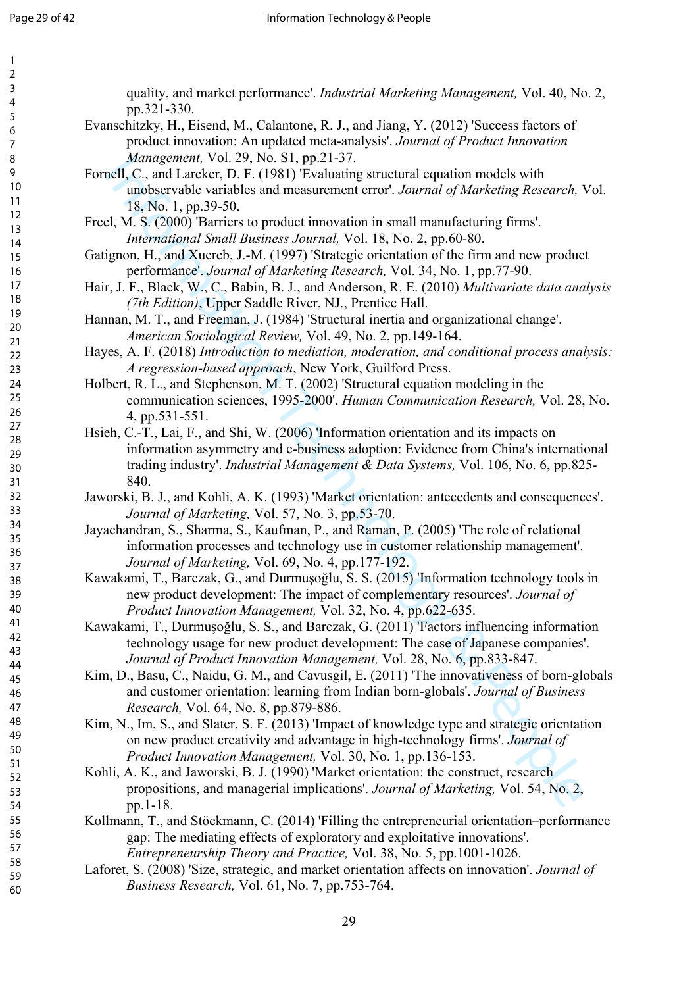| 1                    |  |
|----------------------|--|
| 2                    |  |
| 3                    |  |
| 4                    |  |
| 5                    |  |
| 6                    |  |
|                      |  |
| 8                    |  |
|                      |  |
| 9                    |  |
| 10                   |  |
| 1<br>1               |  |
| 12                   |  |
| 3<br>1               |  |
| 14                   |  |
| 15                   |  |
| 16                   |  |
| 1                    |  |
| 18                   |  |
| 19                   |  |
| 20                   |  |
| $\overline{21}$      |  |
| $^{22}$              |  |
|                      |  |
| 23                   |  |
| $^{24}$              |  |
| 25                   |  |
| 26                   |  |
| $^{27}$              |  |
| 28                   |  |
| 29                   |  |
| 30                   |  |
| 31                   |  |
| 32                   |  |
| 33                   |  |
|                      |  |
| 34                   |  |
| 35                   |  |
| 36                   |  |
| 37                   |  |
| R۶                   |  |
| 39                   |  |
| 40                   |  |
| 41                   |  |
| 42                   |  |
| 43                   |  |
| 44                   |  |
|                      |  |
| 45                   |  |
| 46                   |  |
| 47                   |  |
| 48                   |  |
| 49                   |  |
| 50                   |  |
| 51                   |  |
| 52<br>$\overline{2}$ |  |
| 53                   |  |
| 54                   |  |
| 55                   |  |
| 56                   |  |
| 57                   |  |
|                      |  |
| 58                   |  |
| 59<br>ر              |  |

quality, and market performance'. *Industrial Marketing Management,* Vol. 40, No. 2, pp.321-330.

- <span id="page-29-19"></span><span id="page-29-11"></span>Evanschitzky, H., Eisend, M., Calantone, R. J., and Jiang, Y. (2012) 'Success factors of product innovation: An updated meta-analysis'. *Journal of Product Innovation Management,* Vol. 29, No. S1, pp.21-37.
- <span id="page-29-15"></span>Fornell, C., and Larcker, D. F. (1981) 'Evaluating structural equation models with unobservable variables and measurement error'. *Journal of Marketing Research,* Vol. 18, No. 1, pp.39-50.
- <span id="page-29-0"></span>Freel, M. S. (2000) 'Barriers to product innovation in small manufacturing firms'. *International Small Business Journal,* Vol. 18, No. 2, pp.60-80.
- <span id="page-29-18"></span><span id="page-29-5"></span>Gatignon, H., and Xuereb, J.-M. (1997) 'Strategic orientation of the firm and new product performance'. *Journal of Marketing Research,* Vol. 34, No. 1, pp.77-90.
- <span id="page-29-22"></span><span id="page-29-14"></span>Hair, J. F., Black, W., C., Babin, B. J., and Anderson, R. E. (2010) *Multivariate data analysis (7th Edition)*, Upper Saddle River, NJ., Prentice Hall.
- <span id="page-29-1"></span>Hannan, M. T., and Freeman, J. (1984) 'Structural inertia and organizational change'. *American Sociological Review,* Vol. 49, No. 2, pp.149-164.

<span id="page-29-20"></span><span id="page-29-16"></span>Hayes, A. F. (2018) *Introduction to mediation, moderation, and conditional process analysis: A regression-based approach*, New York, Guilford Press.

- <span id="page-29-21"></span><span id="page-29-17"></span><span id="page-29-6"></span>Holbert, R. L., and Stephenson, M. T. (2002) 'Structural equation modeling in the communication sciences, 1995-2000'. *Human Communication Research,* Vol. 28, No. 4, pp.531-551.
- Management, Vol. 29, No. 21, Po. 21, Po. 21, Po. 21, Po. 21, Po. 21, Po. 21, Po. 21, Po. 21, Po. 21, Po. 21, Po. 21, Po. 21, Po. 21, Po. 21, Po. 21, M. 21, Po. 21, M. 22, Po. 21, M. 22, Po. 21, M. 22, Po. 21, M. 22, Po. 2 Hsieh, C.-T., Lai, F., and Shi, W. (2006) 'Information orientation and its impacts on information asymmetry and e-business adoption: Evidence from China's international trading industry'. *Industrial Management & Data Systems,* Vol. 106, No. 6, pp.825- 840.
- <span id="page-29-12"></span>Jaworski, B. J., and Kohli, A. K. (1993) 'Market orientation: antecedents and consequences'. *Journal of Marketing,* Vol. 57, No. 3, pp.53-70.
- <span id="page-29-7"></span>Jayachandran, S., Sharma, S., Kaufman, P., and Raman, P. (2005) 'The role of relational information processes and technology use in customer relationship management'. *Journal of Marketing,* Vol. 69, No. 4, pp.177-192.
- <span id="page-29-3"></span>Kawakami, T., Barczak, G., and Durmuşoğlu, S. S. (2015) 'Information technology tools in new product development: The impact of complementary resources'. *Journal of Product Innovation Management,* Vol. 32, No. 4, pp.622-635.
- <span id="page-29-4"></span>Kawakami, T., Durmuşoğlu, S. S., and Barczak, G. (2011) 'Factors influencing information technology usage for new product development: The case of Japanese companies'. *Journal of Product Innovation Management,* Vol. 28, No. 6, pp.833-847.
- <span id="page-29-8"></span>Kim, D., Basu, C., Naidu, G. M., and Cavusgil, E. (2011) 'The innovativeness of born-globals and customer orientation: learning from Indian born-globals'. *Journal of Business Research,* Vol. 64, No. 8, pp.879-886.
- <span id="page-29-2"></span>Kim, N., Im, S., and Slater, S. F. (2013) 'Impact of knowledge type and strategic orientation on new product creativity and advantage in high-technology firms'. *Journal of Product Innovation Management,* Vol. 30, No. 1, pp.136-153.
- <span id="page-29-10"></span>Kohli, A. K., and Jaworski, B. J. (1990) 'Market orientation: the construct, research propositions, and managerial implications'. *Journal of Marketing,* Vol. 54, No. 2, pp.1-18.
- <span id="page-29-9"></span>Kollmann, T., and Stöckmann, C. (2014) 'Filling the entrepreneurial orientation–performance gap: The mediating effects of exploratory and exploitative innovations'. *Entrepreneurship Theory and Practice,* Vol. 38, No. 5, pp.1001-1026.
- <span id="page-29-13"></span>Laforet, S. (2008) 'Size, strategic, and market orientation affects on innovation'. *Journal of Business Research,* Vol. 61, No. 7, pp.753-764.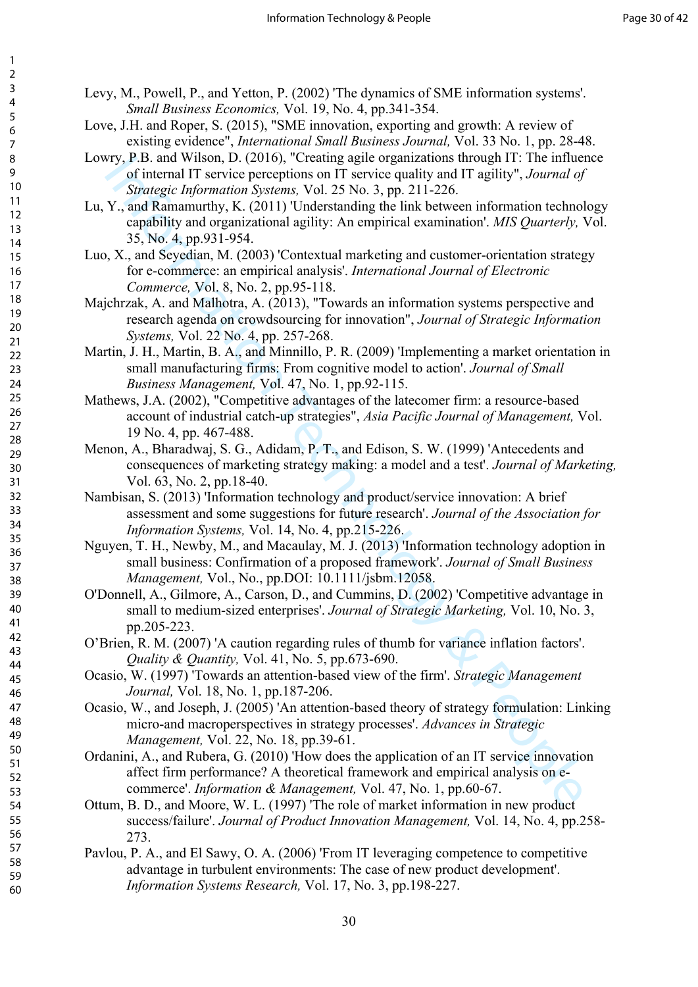- <span id="page-30-14"></span><span id="page-30-2"></span>Levy, M., Powell, P., and Yetton, P. (2002) 'The dynamics of SME information systems'. *Small Business Economics,* Vol. 19, No. 4, pp.341-354.
- Love, J.H. and Roper, S. (2015), "SME innovation, exporting and growth: A review of existing evidence", *International Small Business Journal,* Vol. 33 No. 1, pp. 28-48.
- Lowry, P.B. and Wilson, D. (2016), "Creating agile organizations through IT: The influence of internal IT service perceptions on IT service quality and IT agility", *Journal of Strategic Information Systems,* Vol. 25 No. 3, pp. 211-226.
- <span id="page-30-17"></span><span id="page-30-11"></span>Lu, Y., and Ramamurthy, K. (2011) 'Understanding the link between information technology capability and organizational agility: An empirical examination'. *MIS Quarterly,* Vol. 35, No. 4, pp.931-954.
- <span id="page-30-4"></span>Luo, X., and Seyedian, M. (2003) 'Contextual marketing and customer-orientation strategy for e-commerce: an empirical analysis'. *International Journal of Electronic Commerce,* Vol. 8, No. 2, pp.95-118.
- Majchrzak, A. and Malhotra, A. (2013), "Towards an information systems perspective and research agenda on crowdsourcing for innovation", *Journal of Strategic Information Systems,* Vol. 22 No. 4, pp. 257-268.
- <span id="page-30-13"></span>Martin, J. H., Martin, B. A., and Minnillo, P. R. (2009) 'Implementing a market orientation in small manufacturing firms: From cognitive model to action'. *Journal of Small Business Management,* Vol. 47, No. 1, pp.92-115.
- Mathews, J.A. (2002), "Competitive advantages of the latecomer firm: a resource-based account of industrial catch-up strategies", *Asia Pacific Journal of Management,* Vol. 19 No. 4, pp. 467-488.
- <span id="page-30-16"></span><span id="page-30-10"></span>Menon, A., Bharadwaj, S. G., Adidam, P. T., and Edison, S. W. (1999) 'Antecedents and consequences of marketing strategy making: a model and a test'. *Journal of Marketing,*  Vol. 63, No. 2, pp.18-40.
- <span id="page-30-6"></span>Nambisan, S. (2013) 'Information technology and product/service innovation: A brief assessment and some suggestions for future research'. *Journal of the Association for Information Systems,* Vol. 14, No. 4, pp.215-226.
- <span id="page-30-15"></span><span id="page-30-1"></span><span id="page-30-0"></span>Nguyen, T. H., Newby, M., and Macaulay, M. J. (2013) 'Information technology adoption in small business: Confirmation of a proposed framework'. *Journal of Small Business Management,* Vol., No., pp.DOI: 10.1111/jsbm.12058.
- F18 and Witson, D. (2016), "Cleating ague organizations finotogy 11: The infinite<br>
of internal TI service perceptions on IT service quality and IT agility", Journal of<br>  $Y$ , and Romannuthy, K. (2011) Understanding the lin O'Donnell, A., Gilmore, A., Carson, D., and Cummins, D. (2002) 'Competitive advantage in small to medium-sized enterprises'. *Journal of Strategic Marketing,* Vol. 10, No. 3, pp.205-223.
- <span id="page-30-12"></span>O'Brien, R. M. (2007) 'A caution regarding rules of thumb for variance inflation factors'. *Quality & Quantity,* Vol. 41, No. 5, pp.673-690.
- <span id="page-30-7"></span>Ocasio, W. (1997) 'Towards an attention-based view of the firm'. *Strategic Management Journal,* Vol. 18, No. 1, pp.187-206.
- <span id="page-30-9"></span>Ocasio, W., and Joseph, J. (2005) 'An attention-based theory of strategy formulation: Linking micro-and macroperspectives in strategy processes'. *Advances in Strategic Management,* Vol. 22, No. 18, pp.39-61.
- <span id="page-30-5"></span>Ordanini, A., and Rubera, G. (2010) 'How does the application of an IT service innovation affect firm performance? A theoretical framework and empirical analysis on ecommerce'. *Information & Management,* Vol. 47, No. 1, pp.60-67.
- <span id="page-30-8"></span>Ottum, B. D., and Moore, W. L. (1997) 'The role of market information in new product success/failure'. *Journal of Product Innovation Management,* Vol. 14, No. 4, pp.258- 273.
- <span id="page-30-3"></span>Pavlou, P. A., and El Sawy, O. A. (2006) 'From IT leveraging competence to competitive advantage in turbulent environments: The case of new product development'. *Information Systems Research,* Vol. 17, No. 3, pp.198-227.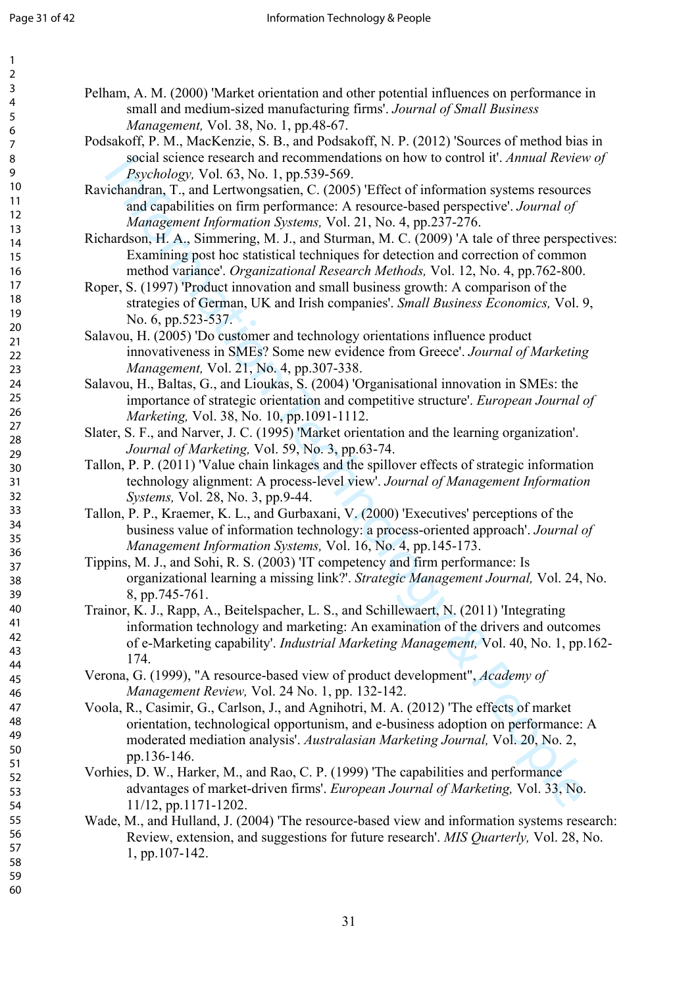1  $\overline{2}$ 

| 3               |
|-----------------|
| 4               |
|                 |
|                 |
| 5678            |
|                 |
| 9               |
| 10              |
| 11              |
| 1               |
| 3<br>1          |
| $\overline{14}$ |
| 15              |
|                 |
| 16<br>17<br>18  |
|                 |
| 19              |
| 20              |
|                 |
|                 |
|                 |
|                 |
|                 |
|                 |
|                 |
|                 |
| 29              |
| 30              |
| 31              |
| $\overline{3}$  |
| 33              |
| 34              |
| 35              |
| 36<br>37        |
|                 |
| 38              |
| 39              |
| $40 \,$         |
| 41              |
| 42              |
| 43              |
| 44              |
| 45              |
| 46              |
| 47              |
| 48              |
| 49              |
| 50              |
| 51              |
| 52              |
| 53              |
| 54<br>55        |
|                 |
| 56<br>5.        |
| 58              |
| 59              |
|                 |

60

<span id="page-31-10"></span>Pelham, A. M. (2000) 'Market orientation and other potential influences on performance in small and medium-sized manufacturing firms'. *Journal of Small Business Management,* Vol. 38, No. 1, pp.48-67.

- <span id="page-31-11"></span>Podsakoff, P. M., MacKenzie, S. B., and Podsakoff, N. P. (2012) 'Sources of method bias in social science research and recommendations on how to control it'. *Annual Review of Psychology,* Vol. 63, No. 1, pp.539-569.
- <span id="page-31-7"></span>Ravichandran, T., and Lertwongsatien, C. (2005) 'Effect of information systems resources and capabilities on firm performance: A resource-based perspective'. *Journal of Management Information Systems,* Vol. 21, No. 4, pp.237-276.
- <span id="page-31-12"></span>Richardson, H. A., Simmering, M. J., and Sturman, M. C. (2009) 'A tale of three perspectives: Examining post hoc statistical techniques for detection and correction of common method variance'. *Organizational Research Methods,* Vol. 12, No. 4, pp.762-800.
- <span id="page-31-0"></span>Roper, S. (1997) 'Product innovation and small business growth: A comparison of the strategies of German, UK and Irish companies'. *Small Business Economics,* Vol. 9, No. 6, pp.523-537.
- <span id="page-31-16"></span><span id="page-31-14"></span>Salavou, H. (2005) 'Do customer and technology orientations influence product innovativeness in SMEs? Some new evidence from Greece'. *Journal of Marketing Management,* Vol. 21, No. 4, pp.307-338.
- <span id="page-31-17"></span><span id="page-31-4"></span>Salavou, H., Baltas, G., and Lioukas, S. (2004) 'Organisational innovation in SMEs: the importance of strategic orientation and competitive structure'. *European Journal of Marketing,* Vol. 38, No. 10, pp.1091-1112.
- <span id="page-31-5"></span>Slater, S. F., and Narver, J. C. (1995) 'Market orientation and the learning organization'. *Journal of Marketing,* Vol. 59, No. 3, pp.63-74.
- <span id="page-31-1"></span>Tallon, P. P. (2011) 'Value chain linkages and the spillover effects of strategic information technology alignment: A process-level view'. *Journal of Management Information Systems,* Vol. 28, No. 3, pp.9-44.
- <span id="page-31-6"></span>Tallon, P. P., Kraemer, K. L., and Gurbaxani, V. (2000) 'Executives' perceptions of the business value of information technology: a process-oriented approach'. *Journal of Management Information Systems,* Vol. 16, No. 4, pp.145-173.
- <span id="page-31-13"></span>Tippins, M. J., and Sohi, R. S. (2003) 'IT competency and firm performance: Is organizational learning a missing link?'. *Strategic Management Journal,* Vol. 24, No. 8, pp.745-761.
- <span id="page-31-3"></span>Trainor, K. J., Rapp, A., Beitelspacher, L. S., and Schillewaert, N. (2011) 'Integrating information technology and marketing: An examination of the drivers and outcomes of e-Marketing capability'. *Industrial Marketing Management,* Vol. 40, No. 1, pp.162- 174.
- <span id="page-31-2"></span>Verona, G. (1999), "A resource-based view of product development", *Academy of Management Review,* Vol. 24 No. 1, pp. 132-142.
- <span id="page-31-15"></span>Social Science Pester and Feominandian on now to control it. *Annual Review*<br> *Psychology,* Vol. 63, No. 1, pp.539-569,<br>
Frichmatin, T, and Lertworpstatien, C. (2005) Fffeto frihromation systems resource-<br> *Manggeneri Info* Voola, R., Casimir, G., Carlson, J., and Agnihotri, M. A. (2012) 'The effects of market orientation, technological opportunism, and e-business adoption on performance: A moderated mediation analysis'. *Australasian Marketing Journal,* Vol. 20, No. 2, pp.136-146.
- <span id="page-31-9"></span>Vorhies, D. W., Harker, M., and Rao, C. P. (1999) 'The capabilities and performance advantages of market-driven firms'. *European Journal of Marketing,* Vol. 33, No. 11/12, pp.1171-1202.
- <span id="page-31-8"></span>Wade, M., and Hulland, J. (2004) 'The resource-based view and information systems research: Review, extension, and suggestions for future research'. *MIS Quarterly,* Vol. 28, No. 1, pp.107-142.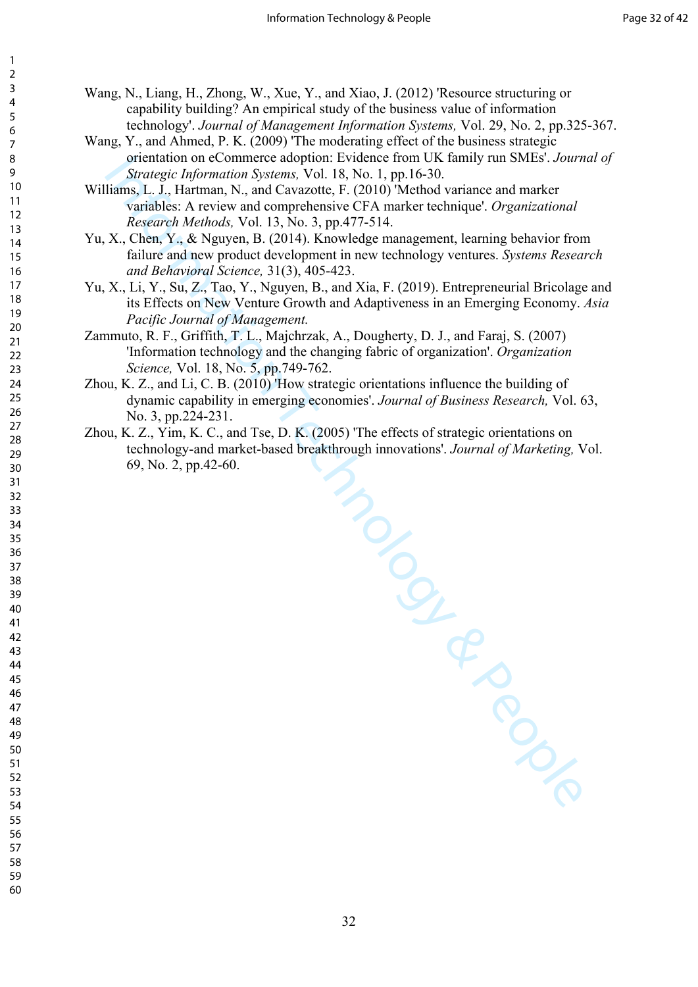<span id="page-32-7"></span><span id="page-32-6"></span><span id="page-32-2"></span>Wang, N., Liang, H., Zhong, W., Xue, Y., and Xiao, J. (2012) 'Resource structuring or capability building? An empirical study of the business value of information technology'. *Journal of Management Information Systems,* Vol. 29, No. 2, pp.325-367.

- <span id="page-32-1"></span>Wang, Y., and Ahmed, P. K. (2009) 'The moderating effect of the business strategic orientation on eCommerce adoption: Evidence from UK family run SMEs'. *Journal of Strategic Information Systems,* Vol. 18, No. 1, pp.16-30.
- <span id="page-32-5"></span>Williams, L. J., Hartman, N., and Cavazotte, F. (2010) 'Method variance and marker variables: A review and comprehensive CFA marker technique'. *Organizational Research Methods,* Vol. 13, No. 3, pp.477-514.
- <span id="page-32-0"></span>Yu, X., Chen, Y., & Nguyen, B. (2014). Knowledge management, learning behavior from failure and new product development in new technology ventures. *Systems Research and Behavioral Science,* 31(3), 405-423.
- Yu, X., Li, Y., Su, Z., Tao, Y., Nguyen, B., and Xia, F. (2019). Entrepreneurial Bricolage and its Effects on New Venture Growth and Adaptiveness in an Emerging Economy. *Asia Pacific Journal of Management.*
- Zammuto, R. F., Griffith, T. L., Majchrzak, A., Dougherty, D. J., and Faraj, S. (2007) 'Information technology and the changing fabric of organization'. *Organization Science,* Vol. 18, No. 5, pp.749-762.
- <span id="page-32-3"></span>Zhou, K. Z., and Li, C. B. (2010) 'How strategic orientations influence the building of dynamic capability in emerging economies'. *Journal of Business Research,* Vol. 63, No. 3, pp.224-231.
- <span id="page-32-4"></span>S) The c. Zhou, K. Z., Yim, K. C., and Tse, D. K. (2005) 'The effects of strategic orientations on technology-and market-based breakthrough innovations'. *Journal of Marketing,* Vol. 69, No. 2, pp.42-60.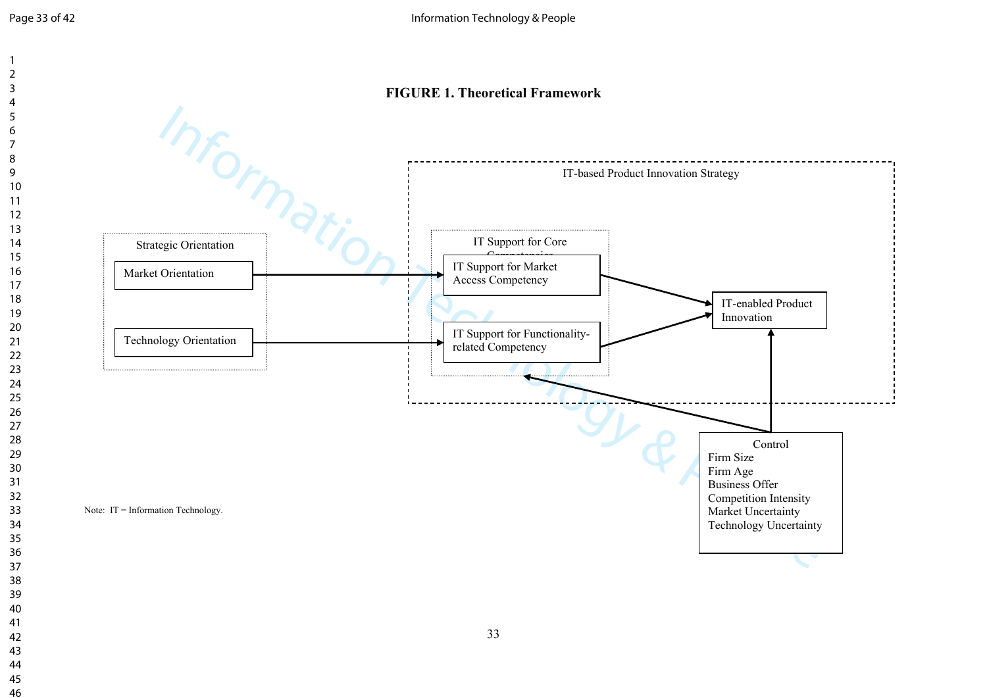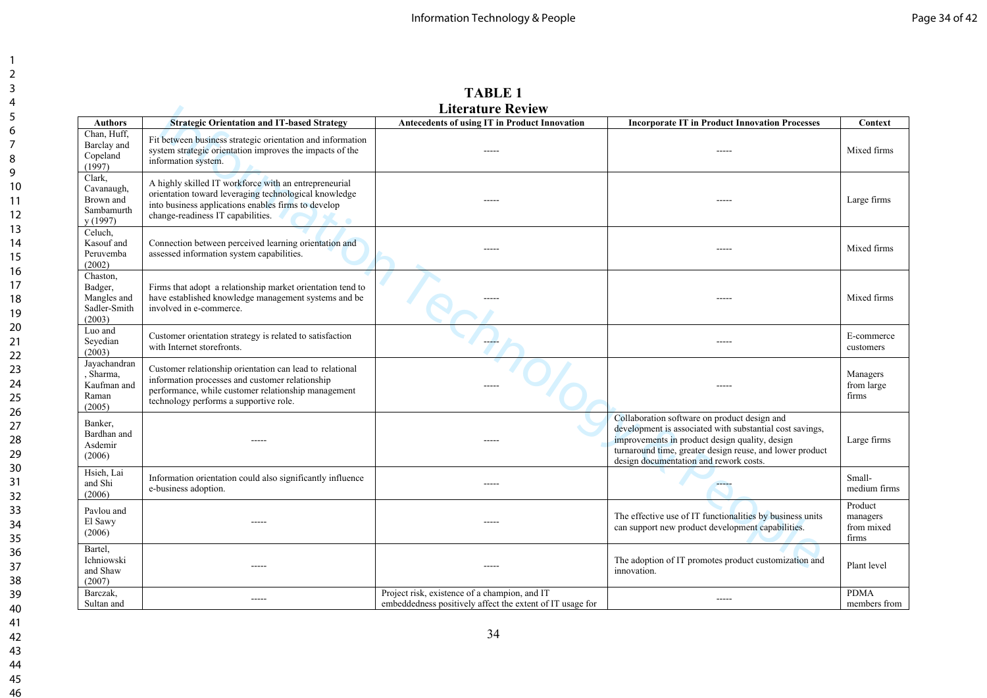|                                                              |                                                                                                                                                                                                              | <b>Literature Review</b>                                                                                   |                                                                                                                                                                                                                                                                  |                                            |
|--------------------------------------------------------------|--------------------------------------------------------------------------------------------------------------------------------------------------------------------------------------------------------------|------------------------------------------------------------------------------------------------------------|------------------------------------------------------------------------------------------------------------------------------------------------------------------------------------------------------------------------------------------------------------------|--------------------------------------------|
| <b>Authors</b>                                               | <b>Strategic Orientation and IT-based Strategy</b>                                                                                                                                                           | Antecedents of using IT in Product Innovation                                                              | <b>Incorporate IT in Product Innovation Processes</b>                                                                                                                                                                                                            | Context                                    |
| Chan, Huff,<br>Barclay and<br>Copeland<br>(1997)             | Fit between business strategic orientation and information<br>system strategic orientation improves the impacts of the<br>information system.                                                                |                                                                                                            |                                                                                                                                                                                                                                                                  | Mixed firms                                |
| Clark,<br>Cavanaugh,<br>Brown and<br>Sambamurth<br>y (1997)  | A highly skilled IT workforce with an entrepreneurial<br>orientation toward leveraging technological knowledge<br>into business applications enables firms to develop<br>change-readiness IT capabilities.   | $- - - - -$                                                                                                | -----                                                                                                                                                                                                                                                            | Large firms                                |
| Celuch,<br>Kasouf and<br>Peruvemba<br>(2002)                 | Connection between perceived learning orientation and<br>assessed information system capabilities.                                                                                                           |                                                                                                            | -----                                                                                                                                                                                                                                                            | Mixed firms                                |
| Chaston,<br>Badger,<br>Mangles and<br>Sadler-Smith<br>(2003) | Firms that adopt a relationship market orientation tend to<br>have established knowledge management systems and be<br>involved in e-commerce.                                                                |                                                                                                            | -----                                                                                                                                                                                                                                                            | Mixed firms                                |
| Luo and<br>Sevedian<br>(2003)                                | Customer orientation strategy is related to satisfaction<br>with Internet storefronts.                                                                                                                       |                                                                                                            |                                                                                                                                                                                                                                                                  | E-commerce<br>customers                    |
| Javachandran<br>, Sharma,<br>Kaufman and<br>Raman<br>(2005)  | Customer relationship orientation can lead to relational<br>information processes and customer relationship<br>performance, while customer relationship management<br>technology performs a supportive role. |                                                                                                            | $- - - - -$                                                                                                                                                                                                                                                      | Managers<br>from large<br>firms            |
| Banker,<br>Bardhan and<br>Asdemir<br>(2006)                  |                                                                                                                                                                                                              |                                                                                                            | Collaboration software on product design and<br>development is associated with substantial cost savings,<br>improvements in product design quality, design<br>turnaround time, greater design reuse, and lower product<br>design documentation and rework costs. | Large firms                                |
| Hsieh, Lai<br>and Shi<br>(2006)                              | Information orientation could also significantly influence<br>e-business adoption.                                                                                                                           | $- - - - -$                                                                                                | $- - - -$                                                                                                                                                                                                                                                        | Small-<br>medium firms                     |
| Pavlou and<br>El Sawy<br>(2006)                              | $---$                                                                                                                                                                                                        |                                                                                                            | The effective use of IT functionalities by business units<br>can support new product development capabilities.                                                                                                                                                   | Product<br>managers<br>from mixed<br>firms |
| Bartel,<br>Ichniowski<br>and Shaw<br>(2007)                  | -----                                                                                                                                                                                                        | $- - - - -$                                                                                                | The adoption of IT promotes product customization and<br>innovation.                                                                                                                                                                                             | Plant level                                |
| Barczak,<br>Sultan and                                       | $- - - - -$                                                                                                                                                                                                  | Project risk, existence of a champion, and IT<br>embeddedness positively affect the extent of IT usage for | $- - - - -$                                                                                                                                                                                                                                                      | <b>PDMA</b><br>members from                |

**TABLE 1**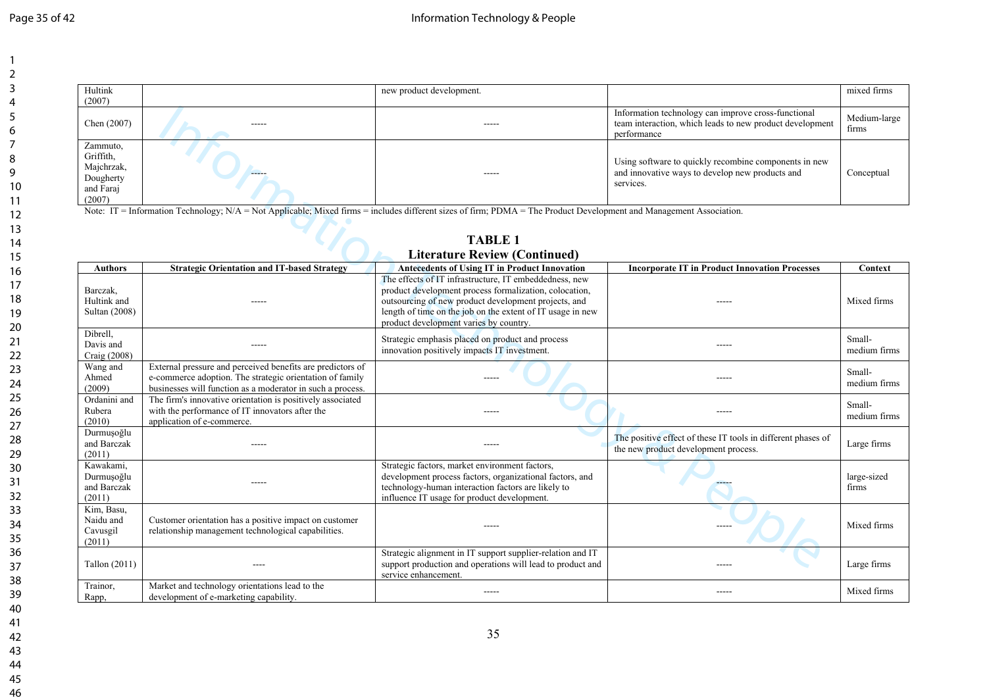| Hultink<br>(2007)                                                       |             | new product development. |                                                                                                                                | mixed firms           |
|-------------------------------------------------------------------------|-------------|--------------------------|--------------------------------------------------------------------------------------------------------------------------------|-----------------------|
| Chen $(2007)$                                                           | $- - - - -$ | $- - - - - -$            | Information technology can improve cross-functional<br>team interaction, which leads to new product development<br>performance | Medium-large<br>firms |
| Zammuto,<br>Griffith,<br>Majchrzak,<br>Dougherty<br>and Faraj<br>(2007) | -----       | -----                    | Using software to quickly recombine components in new<br>and innovative ways to develop new products and<br>services.          | Conceptual            |

| Chen (2007)                                                             |                                                                                                                                                                                      | -----                                                                                                                                                                                                                                                                            | Information technology can improve cross-functional<br>team interaction, which leads to new product development<br>performance | Medium-large<br>firms  |
|-------------------------------------------------------------------------|--------------------------------------------------------------------------------------------------------------------------------------------------------------------------------------|----------------------------------------------------------------------------------------------------------------------------------------------------------------------------------------------------------------------------------------------------------------------------------|--------------------------------------------------------------------------------------------------------------------------------|------------------------|
| Zammuto,<br>Griffith.<br>Majchrzak,<br>Dougherty<br>and Faraj<br>(2007) |                                                                                                                                                                                      | $- - - - -$                                                                                                                                                                                                                                                                      | Using software to quickly recombine components in new<br>and innovative ways to develop new products and<br>services.          | Conceptual             |
|                                                                         | Note: IT = Information Technology; N/A = Not Applicable; Mixed firms = includes different sizes of firm; PDMA = The Product Development and Management Association.                  |                                                                                                                                                                                                                                                                                  |                                                                                                                                |                        |
|                                                                         |                                                                                                                                                                                      | <b>TABLE 1</b>                                                                                                                                                                                                                                                                   |                                                                                                                                |                        |
|                                                                         |                                                                                                                                                                                      | <b>Literature Review (Continued)</b>                                                                                                                                                                                                                                             |                                                                                                                                |                        |
| <b>Authors</b>                                                          | <b>Strategic Orientation and IT-based Strategy</b>                                                                                                                                   | <b>Antecedents of Using IT in Product Innovation</b>                                                                                                                                                                                                                             | <b>Incorporate IT in Product Innovation Processes</b>                                                                          | Context                |
| Barczak,<br>Hultink and<br>Sultan (2008)                                | -----                                                                                                                                                                                | The effects of IT infrastructure, IT embeddedness, new<br>product development process formalization, colocation,<br>outsourcing of new product development projects, and<br>length of time on the job on the extent of IT usage in new<br>product development varies by country. | $\frac{1}{2}$                                                                                                                  | Mixed firms            |
| Dibrell,<br>Davis and<br>Craig (2008)                                   | ----                                                                                                                                                                                 | Strategic emphasis placed on product and process<br>innovation positively impacts IT investment.                                                                                                                                                                                 | ----                                                                                                                           | Small-<br>medium firms |
| Wang and<br>Ahmed<br>(2009)                                             | External pressure and perceived benefits are predictors of<br>e-commerce adoption. The strategic orientation of family<br>businesses will function as a moderator in such a process. | $---$                                                                                                                                                                                                                                                                            | -----                                                                                                                          | Small-<br>medium firms |
| Ordanini and<br>Rubera<br>(2010)                                        | The firm's innovative orientation is positively associated<br>with the performance of IT innovators after the<br>application of e-commerce.                                          |                                                                                                                                                                                                                                                                                  | -----                                                                                                                          | Small-<br>medium firms |
| Durmuşoğlu<br>and Barczak<br>(2011)                                     |                                                                                                                                                                                      |                                                                                                                                                                                                                                                                                  | The positive effect of these IT tools in different phases of<br>the new product development process.                           | Large firms            |
| Kawakami,<br>Durmuşoğlu<br>and Barczak<br>(2011)                        |                                                                                                                                                                                      | Strategic factors, market environment factors,<br>development process factors, organizational factors, and<br>technology-human interaction factors are likely to<br>influence IT usage for product development.                                                                  |                                                                                                                                | large-sized<br>firms   |
| Kim, Basu,<br>Naidu and<br>Cavusgil<br>(2011)                           | Customer orientation has a positive impact on customer<br>relationship management technological capabilities.                                                                        |                                                                                                                                                                                                                                                                                  |                                                                                                                                | Mixed firms            |
| Tallon (2011)                                                           |                                                                                                                                                                                      | Strategic alignment in IT support supplier-relation and IT<br>support production and operations will lead to product and<br>service enhancement.                                                                                                                                 | -----                                                                                                                          | Large firms            |
| Trainor,<br>Rapp,                                                       | Market and technology orientations lead to the<br>development of e-marketing capability.                                                                                             | $- - - - -$                                                                                                                                                                                                                                                                      | -----                                                                                                                          | Mixed firms            |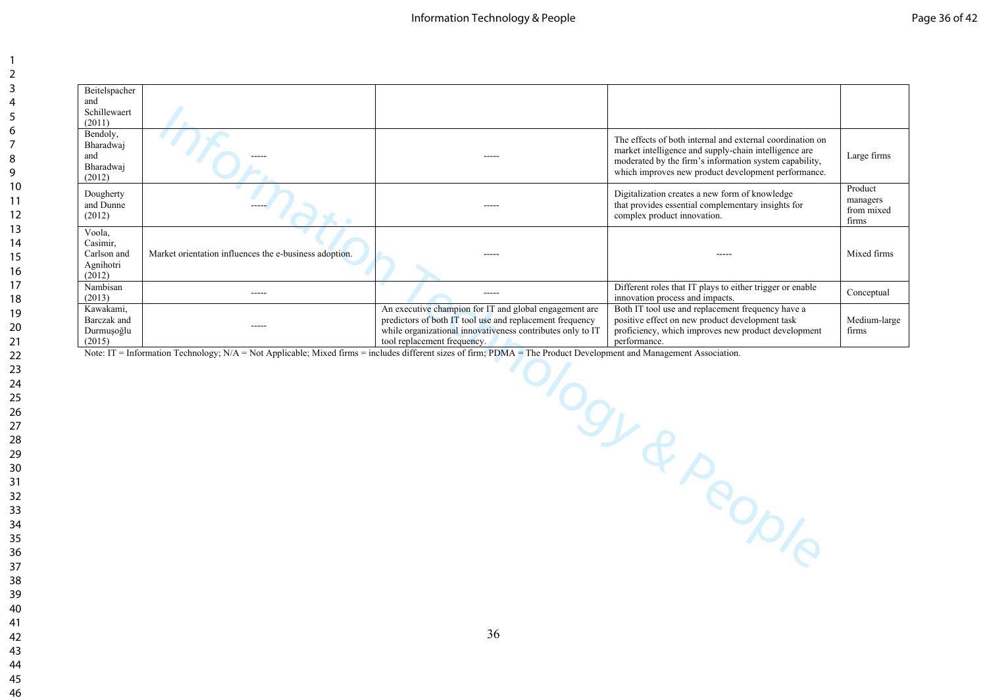| Beitelspacher<br>and<br>Schillewaert<br>(2011)           |                                                                                                                                                                     |                                                                                                                        |                                                                                                                                                                                                                                     |                                            |
|----------------------------------------------------------|---------------------------------------------------------------------------------------------------------------------------------------------------------------------|------------------------------------------------------------------------------------------------------------------------|-------------------------------------------------------------------------------------------------------------------------------------------------------------------------------------------------------------------------------------|--------------------------------------------|
| Bendoly,<br>Bharadwaj<br>and<br>Bharadwaj<br>(2012)      |                                                                                                                                                                     | -----                                                                                                                  | The effects of both internal and external coordination on<br>market intelligence and supply-chain intelligence are<br>moderated by the firm's information system capability,<br>which improves new product development performance. | Large firms                                |
| Dougherty<br>and Dunne<br>(2012)                         |                                                                                                                                                                     | -----                                                                                                                  | Digitalization creates a new form of knowledge<br>that provides essential complementary insights for<br>complex product innovation.                                                                                                 | Product<br>managers<br>from mixed<br>firms |
| Voola,<br>Casimir,<br>Carlson and<br>Agnihotri<br>(2012) | Market orientation influences the e-business adoption.                                                                                                              | -----                                                                                                                  |                                                                                                                                                                                                                                     | Mixed firms                                |
| Nambisan                                                 | -----                                                                                                                                                               | -----                                                                                                                  | Different roles that IT plays to either trigger or enable                                                                                                                                                                           | Conceptual                                 |
| (2013)<br>Kawakami,                                      |                                                                                                                                                                     | An executive champion for IT and global engagement are                                                                 | innovation process and impacts.<br>Both IT tool use and replacement frequency have a                                                                                                                                                |                                            |
| Barczak and<br>Durmuşoğlu                                | $- - - - -$                                                                                                                                                         | predictors of both IT tool use and replacement frequency<br>while organizational innovativeness contributes only to IT | positive effect on new product development task<br>proficiency, which improves new product development                                                                                                                              | Medium-large<br>firms                      |
| (2015)                                                   |                                                                                                                                                                     | tool replacement frequency.                                                                                            | performance.                                                                                                                                                                                                                        |                                            |
|                                                          | Note: IT = Information Technology; N/A = Not Applicable; Mixed firms = includes different sizes of firm; PDMA = The Product Development and Management Association. |                                                                                                                        |                                                                                                                                                                                                                                     |                                            |
|                                                          |                                                                                                                                                                     |                                                                                                                        | Sundant Development                                                                                                                                                                                                                 |                                            |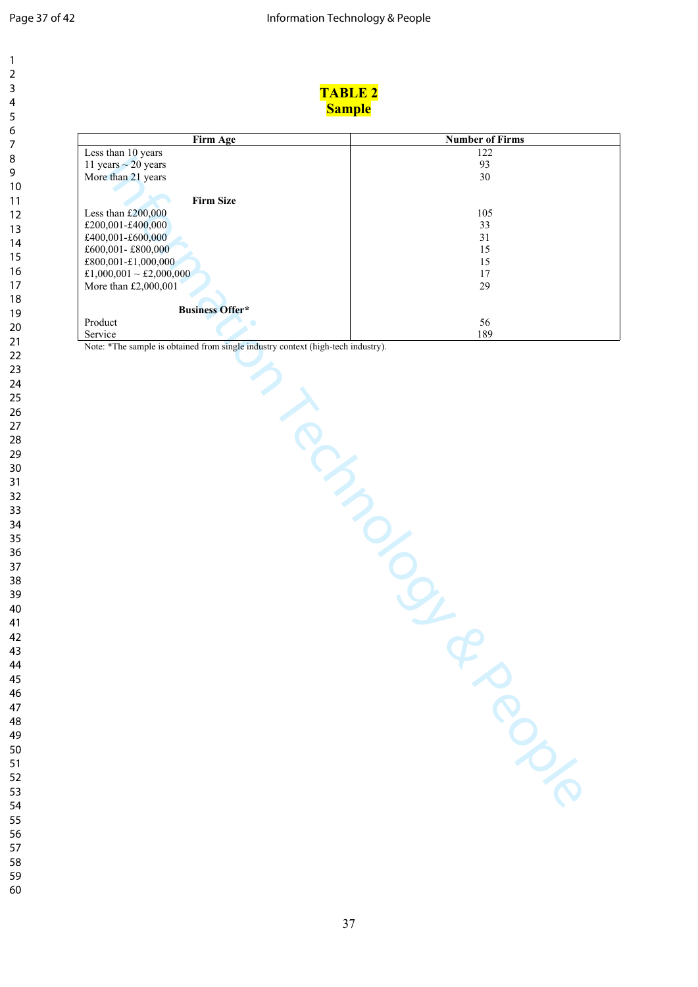| 2               |  |
|-----------------|--|
| 3               |  |
| 4               |  |
| 5               |  |
| 6               |  |
| 7               |  |
|                 |  |
| 8               |  |
| 9               |  |
| 10              |  |
| 11              |  |
| $\overline{12}$ |  |
| 13              |  |
| $\overline{14}$ |  |
| 15              |  |
| 16              |  |
| 17              |  |
| 18              |  |
| 19              |  |
|                 |  |
| 20              |  |
| $\overline{21}$ |  |
| $^{22}$         |  |
| 23              |  |
| 24              |  |
| 25              |  |
| 26              |  |
| 27              |  |
| 28              |  |
| 29              |  |
| 30              |  |
| 31              |  |
|                 |  |
| 32              |  |
| 33              |  |
| 34              |  |
| 35              |  |
| 36              |  |
| 37              |  |
| 38              |  |
| 39              |  |
| 40              |  |
| 41              |  |
| 42              |  |
| 43              |  |
| 44              |  |
|                 |  |
| 45              |  |
| 46              |  |
| 47              |  |
| 48              |  |
| 49              |  |
| 50              |  |
| 51              |  |
| 52              |  |
| 53              |  |
| 54              |  |
| 55              |  |
|                 |  |
| 56              |  |
| 57              |  |
| 58              |  |

| <b>TABLE 2</b>                                                                          |
|-----------------------------------------------------------------------------------------|
| <b>Sample</b>                                                                           |
| <b>Number of Firms</b>                                                                  |
| 122                                                                                     |
| 93                                                                                      |
| 30                                                                                      |
|                                                                                         |
|                                                                                         |
| 105                                                                                     |
| 33                                                                                      |
| 31                                                                                      |
| 15                                                                                      |
| 15                                                                                      |
| $17\,$                                                                                  |
| 29                                                                                      |
|                                                                                         |
| 56                                                                                      |
| 189<br>Note: *The sample is obtained from single industry context (high-tech industry). |
| RIVERS<br>N PROCESSION                                                                  |
|                                                                                         |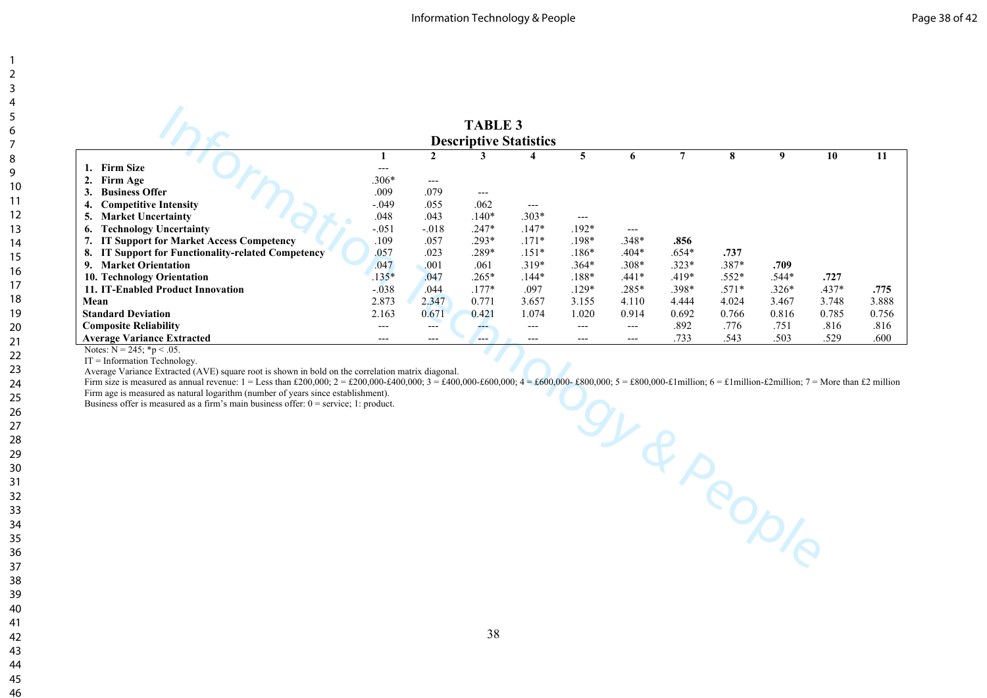|                                                                                                                                                                                                                                  |                   |                      | <b>TABLE 3</b>      |                               |                |                     |                |            |         |         |       |
|----------------------------------------------------------------------------------------------------------------------------------------------------------------------------------------------------------------------------------|-------------------|----------------------|---------------------|-------------------------------|----------------|---------------------|----------------|------------|---------|---------|-------|
|                                                                                                                                                                                                                                  |                   |                      |                     | <b>Descriptive Statistics</b> |                |                     |                |            |         |         |       |
|                                                                                                                                                                                                                                  | 1                 | $\mathbf{2}$         | 3                   | 4                             | $\overline{5}$ | 6                   | $\overline{7}$ | 8          | 9       | 10      | 11    |
| 1. Firm Size                                                                                                                                                                                                                     | $\qquad \qquad -$ |                      |                     |                               |                |                     |                |            |         |         |       |
| 2.<br>Firm Age                                                                                                                                                                                                                   | .306*             | $\scriptstyle\cdots$ |                     |                               |                |                     |                |            |         |         |       |
| <b>Business Offer</b><br>3.                                                                                                                                                                                                      | .009              | .079                 | $\qquad \qquad - -$ |                               |                |                     |                |            |         |         |       |
| <b>Competitive Intensity</b><br>4.                                                                                                                                                                                               | $-.049$           | .055                 | .062                | $---$                         |                |                     |                |            |         |         |       |
| <b>Market Uncertainty</b><br>5.                                                                                                                                                                                                  | .048              | .043                 | $.140*$             | $.303*$                       | $---$          |                     |                |            |         |         |       |
| <b>Technology Uncertainty</b><br>6.                                                                                                                                                                                              | $-.051$           | $-.018$              | $.247*$             | $.147*$                       | $.192*$        | $---$               |                |            |         |         |       |
| 7.<br><b>IT Support for Market Access Competency</b>                                                                                                                                                                             | .109              | .057                 | .293*               | $.171*$                       | $.198*$        | .348*               | .856           |            |         |         |       |
| 8. IT Support for Functionality-related Competency                                                                                                                                                                               | .057              | .023                 | .289*               | $.151*$                       | $.186*$        | $.404*$             | $.654*$        | .737       |         |         |       |
| 9. Market Orientation                                                                                                                                                                                                            | .047              | .001                 | .061                | $.319*$                       | $.364*$        | $.308*$             | $.323*$        | .387*      | .709    |         |       |
| 10. Technology Orientation                                                                                                                                                                                                       | $.135*$           | .047                 | $.265*$             | $.144*$                       | $.188*$        | $.441*$             | .419*          | $.552*$    | .544*   | .727    |       |
| 11. IT-Enabled Product Innovation                                                                                                                                                                                                | $-.038$           | .044                 | $.177*$             | .097                          | $.129*$        | .285*               | .398*          | $.571*$    | $.326*$ | $.437*$ | .775  |
| Mean                                                                                                                                                                                                                             | 2.873             | 2.347                | 0.771               | 3.657                         | 3.155          | 4.110               | 4.444          | 4.024      | 3.467   | 3.748   | 3.888 |
| <b>Standard Deviation</b>                                                                                                                                                                                                        | 2.163             | 0.671                | 0.421               | 1.074                         | 1.020          | 0.914               | 0.692          | 0.766      | 0.816   | 0.785   | 0.756 |
| <b>Composite Reliability</b>                                                                                                                                                                                                     | $\overline{a}$    | $---$                | ---                 | $---$                         | $---$          | $\qquad \qquad - -$ | .892           | .776       | .751    | .816    | .816  |
| <b>Average Variance Extracted</b>                                                                                                                                                                                                | $---$             | $---$                | ---                 | ---                           | $---$          | $--$                | .733           | .543       | .503    | .529    | .600  |
| Notes: $N = 245$ ; *p < .05.<br>$IT = Information Technology$ .                                                                                                                                                                  |                   |                      |                     |                               |                |                     |                |            |         |         |       |
| Average Variance Extracted (AVE) square root is shown in bold on the correlation matrix diagonal.                                                                                                                                |                   |                      |                     |                               |                |                     |                |            |         |         |       |
| Firm size is measured as annual revenue: $1 =$ Less than £200,000; $2 =$ £200,000+2400,000; $3 =$ £400,000+2600,000; $4 =$ £600,000+2600,000; $5 =$ £800,000+21 million; $6 =$ £1 million-£2 million; $7 =$ More than £2 million |                   |                      |                     |                               |                |                     |                |            |         |         |       |
| Firm age is measured as natural logarithm (number of years since establishment).                                                                                                                                                 |                   |                      |                     |                               |                |                     |                |            |         |         |       |
| Business offer is measured as a firm's main business offer: $0 =$ service; 1: product.                                                                                                                                           |                   |                      |                     |                               |                |                     |                |            |         |         |       |
|                                                                                                                                                                                                                                  |                   |                      |                     |                               |                |                     |                |            |         |         |       |
|                                                                                                                                                                                                                                  |                   |                      |                     |                               |                |                     |                |            |         |         |       |
|                                                                                                                                                                                                                                  |                   |                      |                     |                               |                |                     |                |            |         |         |       |
|                                                                                                                                                                                                                                  |                   |                      |                     |                               |                |                     |                |            |         |         |       |
|                                                                                                                                                                                                                                  |                   |                      |                     |                               |                |                     |                |            |         |         |       |
|                                                                                                                                                                                                                                  |                   |                      |                     |                               |                |                     |                |            |         |         |       |
|                                                                                                                                                                                                                                  |                   |                      |                     |                               |                |                     |                |            |         |         |       |
|                                                                                                                                                                                                                                  |                   |                      |                     |                               |                |                     |                |            |         |         |       |
|                                                                                                                                                                                                                                  |                   |                      |                     |                               |                |                     |                |            |         |         |       |
|                                                                                                                                                                                                                                  |                   |                      |                     |                               |                |                     |                |            |         |         |       |
|                                                                                                                                                                                                                                  |                   |                      |                     |                               |                |                     |                |            |         |         |       |
|                                                                                                                                                                                                                                  |                   |                      |                     |                               |                |                     |                |            |         |         |       |
|                                                                                                                                                                                                                                  |                   |                      |                     |                               |                |                     |                | 91 R PODIO |         |         |       |
|                                                                                                                                                                                                                                  |                   |                      |                     |                               |                |                     |                |            |         |         |       |
|                                                                                                                                                                                                                                  |                   |                      |                     |                               |                |                     |                |            |         |         |       |

 $IT = Information Technology$ .

Firm age is measured as natural logarithm (number of years since establishment).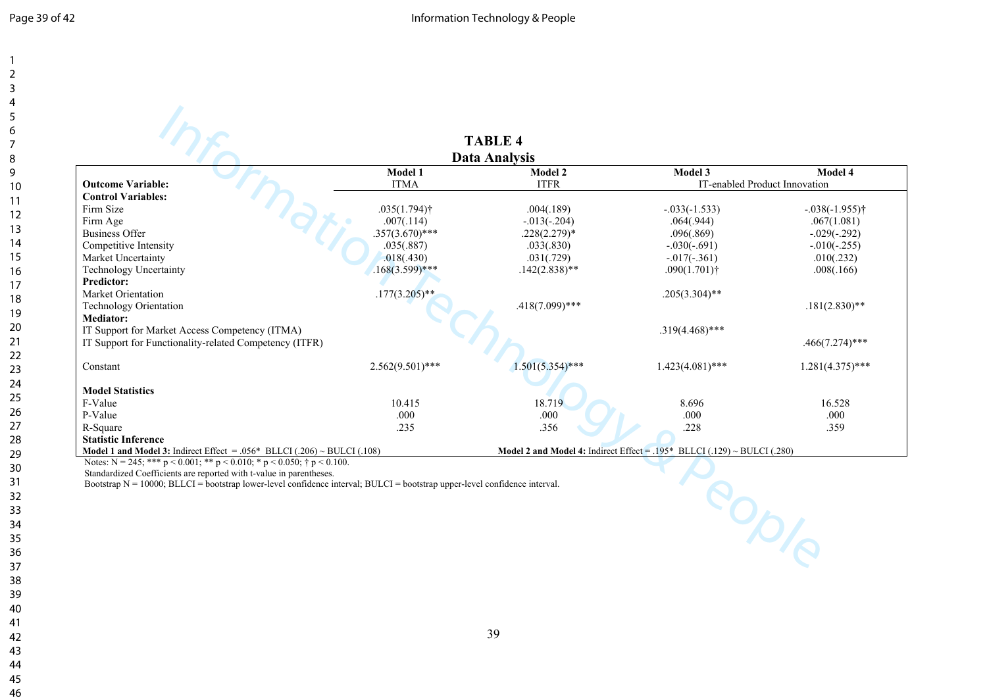|                                                                                                                               |                            | <b>TABLE 4</b>       |                                                                            |                               |
|-------------------------------------------------------------------------------------------------------------------------------|----------------------------|----------------------|----------------------------------------------------------------------------|-------------------------------|
|                                                                                                                               |                            | <b>Data Analysis</b> |                                                                            |                               |
|                                                                                                                               | Model 1                    | <b>Model 2</b>       | Model 3                                                                    | Model 4                       |
| <b>Outcome Variable:</b>                                                                                                      | <b>ITMA</b>                | <b>ITFR</b>          |                                                                            | IT-enabled Product Innovation |
| <b>Control Variables:</b>                                                                                                     |                            |                      |                                                                            |                               |
| Firm Size                                                                                                                     | $.035(1.794)$ <sup>†</sup> | .004(.189)           | $-.033(-1.533)$                                                            | $-0.038(-1.955)$ <sup>†</sup> |
| Firm Age                                                                                                                      | .007(.114)                 | $-.013(-.204)$       | .064(.944)                                                                 | .067(1.081)                   |
| <b>Business Offer</b>                                                                                                         | $.357(3.670)$ ***          | $.228(2.279)*$       | .096(.869)                                                                 | $-.029(-.292)$                |
| Competitive Intensity                                                                                                         | .035(.887)                 | .033(.830)           | $-.030(-.691)$                                                             | $-.010(-.255)$                |
| Market Uncertainty                                                                                                            | .018(.430)                 | .031(.729)           | $-0.017(-0.361)$                                                           | .010(.232)                    |
| <b>Technology Uncertainty</b>                                                                                                 | $.168(3.599)$ ***          | $.142(2.838)$ **     | $.090(1.701)$ †                                                            | .008(.166)                    |
| <b>Predictor:</b>                                                                                                             |                            |                      |                                                                            |                               |
| Market Orientation                                                                                                            | $.177(3.205)$ **           |                      | $.205(3.304)$ **                                                           |                               |
| <b>Technology Orientation</b>                                                                                                 |                            | $.418(7.099)$ ***    |                                                                            | $.181(2.830)**$               |
| <b>Mediator:</b>                                                                                                              |                            |                      |                                                                            |                               |
| IT Support for Market Access Competency (ITMA)                                                                                |                            |                      | $.319(4.468)$ ***                                                          |                               |
| IT Support for Functionality-related Competency (ITFR)                                                                        |                            |                      |                                                                            | $.466(7.274)$ ***             |
| Constant                                                                                                                      | $2.562(9.501)$ ***         | $1.501(5.354)$ ***   | $1.423(4.081)$ ***                                                         | $1.281(4.375)$ ***            |
| <b>Model Statistics</b>                                                                                                       |                            |                      |                                                                            |                               |
| F-Value                                                                                                                       | 10.415                     | 18.719               | 8.696                                                                      | 16.528                        |
| P-Value                                                                                                                       | .000                       | .000                 | .000                                                                       | .000                          |
| R-Square                                                                                                                      | .235                       | .356                 | .228                                                                       | .359                          |
| <b>Statistic Inference</b>                                                                                                    |                            |                      |                                                                            |                               |
| <b>Model 1 and Model 3:</b> Indirect Effect = .056* BLLCI (.206) $\sim$ BULCI (.108)                                          |                            |                      | Model 2 and Model 4: Indirect Effect = $.195*$ BLLCI (.129) ~ BULCI (.280) |                               |
| Notes: $N = 245$ ; *** $p < 0.001$ ; ** $p < 0.010$ ; * $p < 0.050$ ; † $p < 0.100$ .                                         |                            |                      |                                                                            |                               |
| Standardized Coefficients are reported with t-value in parentheses.                                                           |                            |                      |                                                                            |                               |
| Bootstrap $N = 10000$ ; BLLCI = bootstrap lower-level confidence interval; BULCI = bootstrap upper-level confidence interval. |                            |                      |                                                                            |                               |
|                                                                                                                               |                            |                      |                                                                            | <b>PODIA</b>                  |
|                                                                                                                               |                            |                      |                                                                            |                               |
|                                                                                                                               |                            |                      |                                                                            |                               |
|                                                                                                                               |                            |                      |                                                                            |                               |
|                                                                                                                               |                            |                      |                                                                            |                               |
|                                                                                                                               |                            |                      |                                                                            |                               |
|                                                                                                                               |                            |                      |                                                                            |                               |
|                                                                                                                               |                            |                      |                                                                            |                               |
|                                                                                                                               |                            |                      |                                                                            |                               |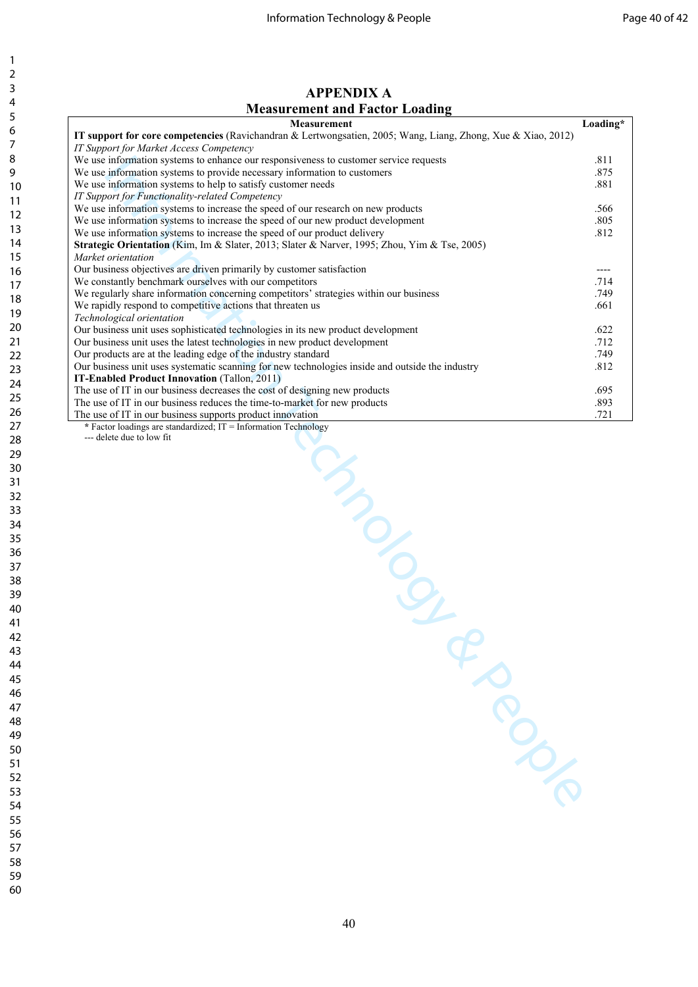## **APPENDIX A Measurement and Factor Loading**

| Measurement                                                                                                  | Loading*  |
|--------------------------------------------------------------------------------------------------------------|-----------|
| IT support for core competencies (Ravichandran & Lertwongsatien, 2005; Wang, Liang, Zhong, Xue & Xiao, 2012) |           |
| IT Support for Market Access Competency                                                                      |           |
| We use information systems to enhance our responsiveness to customer service requests                        | .811      |
| We use information systems to provide necessary information to customers                                     | .875      |
| We use information systems to help to satisfy customer needs                                                 | .881      |
| IT Support for Functionality-related Competency                                                              |           |
| We use information systems to increase the speed of our research on new products                             | .566      |
| We use information systems to increase the speed of our new product development                              | .805      |
| We use information systems to increase the speed of our product delivery                                     | .812      |
| Strategic Orientation (Kim, Im & Slater, 2013; Slater & Narver, 1995; Zhou, Yim & Tse, 2005)                 |           |
| Market orientation                                                                                           |           |
| Our business objectives are driven primarily by customer satisfaction                                        | $- - - -$ |
| We constantly benchmark ourselves with our competitors                                                       | .714      |
| We regularly share information concerning competitors' strategies within our business                        | .749      |
| We rapidly respond to competitive actions that threaten us                                                   | .661      |
| Technological orientation                                                                                    |           |
| Our business unit uses sophisticated technologies in its new product development                             | .622      |
| Our business unit uses the latest technologies in new product development                                    | .712      |
| Our products are at the leading edge of the industry standard                                                | .749      |
| Our business unit uses systematic scanning for new technologies inside and outside the industry              | .812      |
| IT-Enabled Product Innovation (Tallon, 2011)                                                                 |           |
| The use of IT in our business decreases the cost of designing new products                                   | .695      |
| The use of IT in our business reduces the time-to-market for new products                                    | .893      |
| The use of IT in our business supports product innovation                                                    | .721      |
| * Factor loadings are standardized; IT = Information Technology                                              |           |
| --- delete due to low fit                                                                                    |           |
|                                                                                                              |           |
|                                                                                                              |           |
| <b>MANUSCRIPTION</b>                                                                                         |           |
|                                                                                                              |           |
|                                                                                                              |           |
|                                                                                                              |           |
|                                                                                                              |           |
|                                                                                                              |           |
|                                                                                                              |           |
|                                                                                                              |           |
|                                                                                                              |           |
|                                                                                                              |           |
|                                                                                                              |           |
|                                                                                                              |           |
|                                                                                                              |           |
|                                                                                                              |           |
|                                                                                                              |           |
|                                                                                                              |           |
|                                                                                                              |           |
|                                                                                                              |           |
|                                                                                                              |           |
|                                                                                                              |           |
|                                                                                                              |           |
|                                                                                                              |           |
|                                                                                                              |           |
|                                                                                                              |           |
|                                                                                                              |           |
|                                                                                                              |           |
|                                                                                                              |           |
|                                                                                                              |           |
|                                                                                                              |           |
|                                                                                                              |           |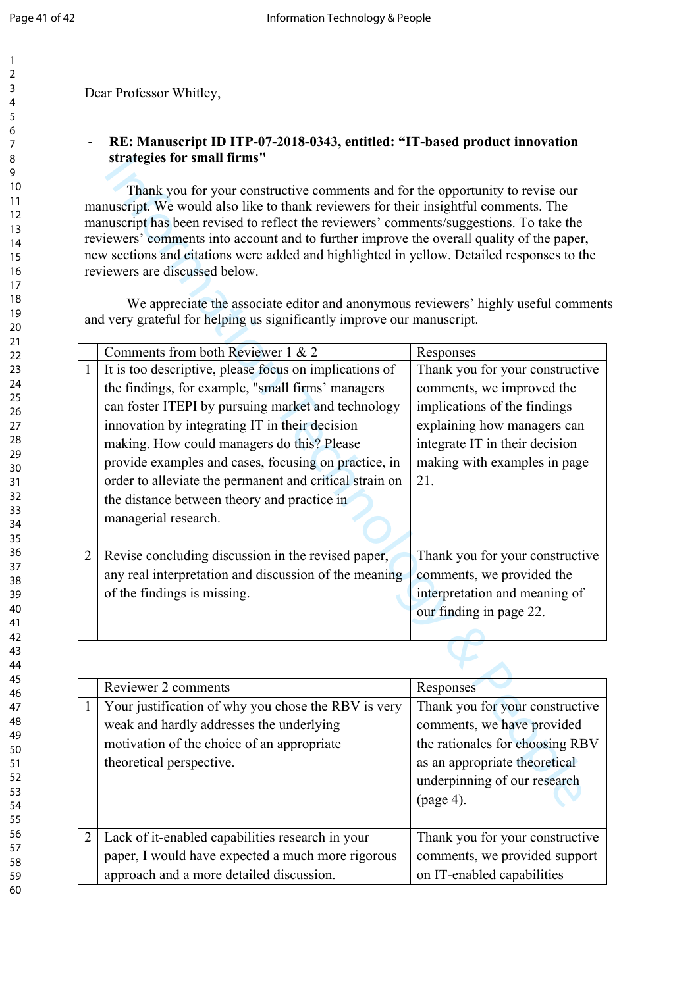Dear Professor Whitley,

## - **RE: Manuscript ID ITP-07-2018-0343, entitled: "IT-based product innovation strategies for small firms"**

|                                                                                                                                                                                                                                                                                                                                                                                                                                                                                                                                                                                                                                                               | strategies for small firms'                                                                                                                                                                                                                                                                                                                                                                                                                                 |                                                                                                                                                                                                      |  |  |  |
|---------------------------------------------------------------------------------------------------------------------------------------------------------------------------------------------------------------------------------------------------------------------------------------------------------------------------------------------------------------------------------------------------------------------------------------------------------------------------------------------------------------------------------------------------------------------------------------------------------------------------------------------------------------|-------------------------------------------------------------------------------------------------------------------------------------------------------------------------------------------------------------------------------------------------------------------------------------------------------------------------------------------------------------------------------------------------------------------------------------------------------------|------------------------------------------------------------------------------------------------------------------------------------------------------------------------------------------------------|--|--|--|
| Thank you for your constructive comments and for the opportunity to revise our<br>manuscript. We would also like to thank reviewers for their insightful comments. The<br>manuscript has been revised to reflect the reviewers' comments/suggestions. To take the<br>reviewers' comments into account and to further improve the overall quality of the paper,<br>new sections and citations were added and highlighted in yellow. Detailed responses to the<br>reviewers are discussed below.<br>We appreciate the associate editor and anonymous reviewers' highly useful comment<br>and very grateful for helping us significantly improve our manuscript. |                                                                                                                                                                                                                                                                                                                                                                                                                                                             |                                                                                                                                                                                                      |  |  |  |
|                                                                                                                                                                                                                                                                                                                                                                                                                                                                                                                                                                                                                                                               | Comments from both Reviewer 1 & 2                                                                                                                                                                                                                                                                                                                                                                                                                           | Responses                                                                                                                                                                                            |  |  |  |
| $\mathbf{1}$                                                                                                                                                                                                                                                                                                                                                                                                                                                                                                                                                                                                                                                  | It is too descriptive, please focus on implications of<br>the findings, for example, "small firms' managers<br>can foster ITEPI by pursuing market and technology<br>innovation by integrating IT in their decision<br>making. How could managers do this? Please<br>provide examples and cases, focusing on practice, in<br>order to alleviate the permanent and critical strain on<br>the distance between theory and practice in<br>managerial research. | Thank you for your constructive<br>comments, we improved the<br>implications of the findings<br>explaining how managers can<br>integrate IT in their decision<br>making with examples in page<br>21. |  |  |  |
| $\overline{2}$                                                                                                                                                                                                                                                                                                                                                                                                                                                                                                                                                                                                                                                | Revise concluding discussion in the revised paper,<br>any real interpretation and discussion of the meaning<br>of the findings is missing.                                                                                                                                                                                                                                                                                                                  | Thank you for your constructive<br>comments, we provided the<br>interpretation and meaning of<br>our finding in page 22.                                                                             |  |  |  |
|                                                                                                                                                                                                                                                                                                                                                                                                                                                                                                                                                                                                                                                               |                                                                                                                                                                                                                                                                                                                                                                                                                                                             |                                                                                                                                                                                                      |  |  |  |
|                                                                                                                                                                                                                                                                                                                                                                                                                                                                                                                                                                                                                                                               | Reviewer 2 comments                                                                                                                                                                                                                                                                                                                                                                                                                                         | Responses                                                                                                                                                                                            |  |  |  |
| $\mathbf{1}$                                                                                                                                                                                                                                                                                                                                                                                                                                                                                                                                                                                                                                                  | Your justification of why you chose the RBV is very<br>weak and hardly addresses the underlying<br>motivation of the choice of an appropriate<br>theoretical perspective.                                                                                                                                                                                                                                                                                   | Thank you for your constructive<br>comments, we have provided<br>the rationales for choosing RBV<br>as an appropriate theoretical<br>underpinning of our research<br>$(page 4)$ .                    |  |  |  |

|   | Reviewer 2 comments                                                                                                                                                       | Responses                                                                                                                                                                      |
|---|---------------------------------------------------------------------------------------------------------------------------------------------------------------------------|--------------------------------------------------------------------------------------------------------------------------------------------------------------------------------|
| 1 | Your justification of why you chose the RBV is very<br>weak and hardly addresses the underlying<br>motivation of the choice of an appropriate<br>theoretical perspective. | Thank you for your constructive<br>comments, we have provided<br>the rationales for choosing RBV<br>as an appropriate theoretical<br>underpinning of our research<br>(page 4). |
| 2 | Lack of it-enabled capabilities research in your<br>paper, I would have expected a much more rigorous<br>approach and a more detailed discussion.                         | Thank you for your constructive<br>comments, we provided support<br>on IT-enabled capabilities                                                                                 |